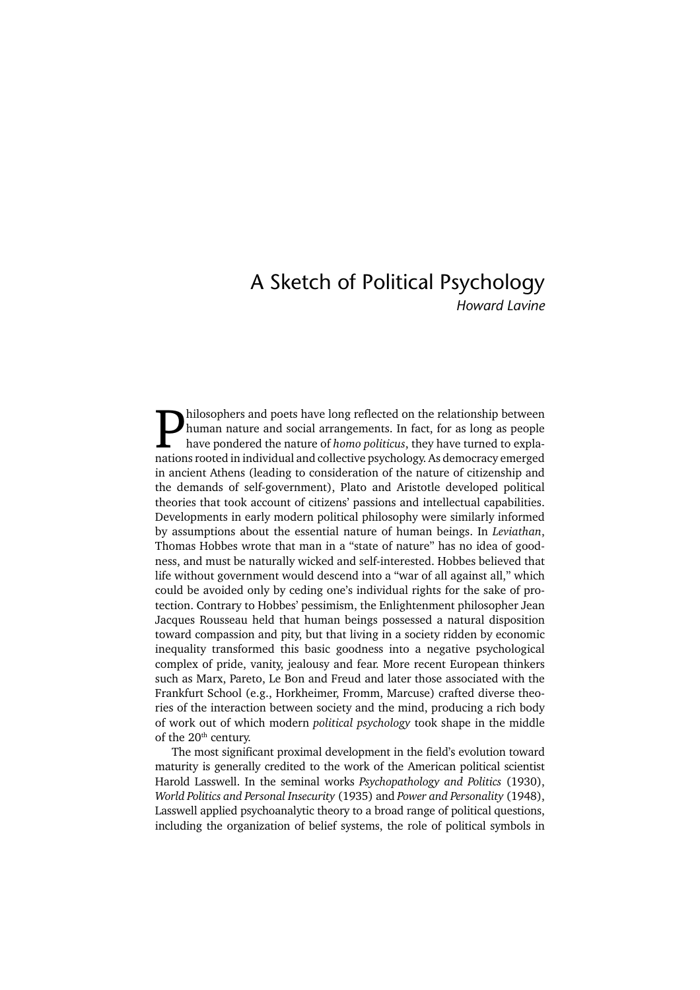# A Sketch of Political Psychology

*Howard Lavine*

**Philosophers and poets have long reflected on the relationship between**<br>human nature and social arrangements. In fact, for as long as people<br>have pondered the nature of *homo politicus*, they have turned to expla-<br>nations human nature and social arrangements. In fact, for as long as people have pondered the nature of *homo politicus*, they have turned to explanations rooted in individual and collective psychology. As democracy emerged in ancient Athens (leading to consideration of the nature of citizenship and the demands of self-government), Plato and Aristotle developed political theories that took account of citizens' passions and intellectual capabilities. Developments in early modern political philosophy were similarly informed by assumptions about the essential nature of human beings. In *Leviathan*, Thomas Hobbes wrote that man in a "state of nature" has no idea of goodness, and must be naturally wicked and self-interested. Hobbes believed that life without government would descend into a "war of all against all," which could be avoided only by ceding one's individual rights for the sake of protection. Contrary to Hobbes' pessimism, the Enlightenment philosopher Jean Jacques Rousseau held that human beings possessed a natural disposition toward compassion and pity, but that living in a society ridden by economic inequality transformed this basic goodness into a negative psychological complex of pride, vanity, jealousy and fear. More recent European thinkers such as Marx, Pareto, Le Bon and Freud and later those associated with the Frankfurt School (e.g., Horkheimer, Fromm, Marcuse) crafted diverse theories of the interaction between society and the mind, producing a rich body of work out of which modern *political psychology* took shape in the middle of the 20<sup>th</sup> century.

The most significant proximal development in the field's evolution toward maturity is generally credited to the work of the American political scientist Harold Lasswell. In the seminal works *Psychopathology and Politics* (1930), *World Politics and Personal Insecurity* (1935) and *Power and Personality* (1948), Lasswell applied psychoanalytic theory to a broad range of political questions, including the organization of belief systems, the role of political symbols in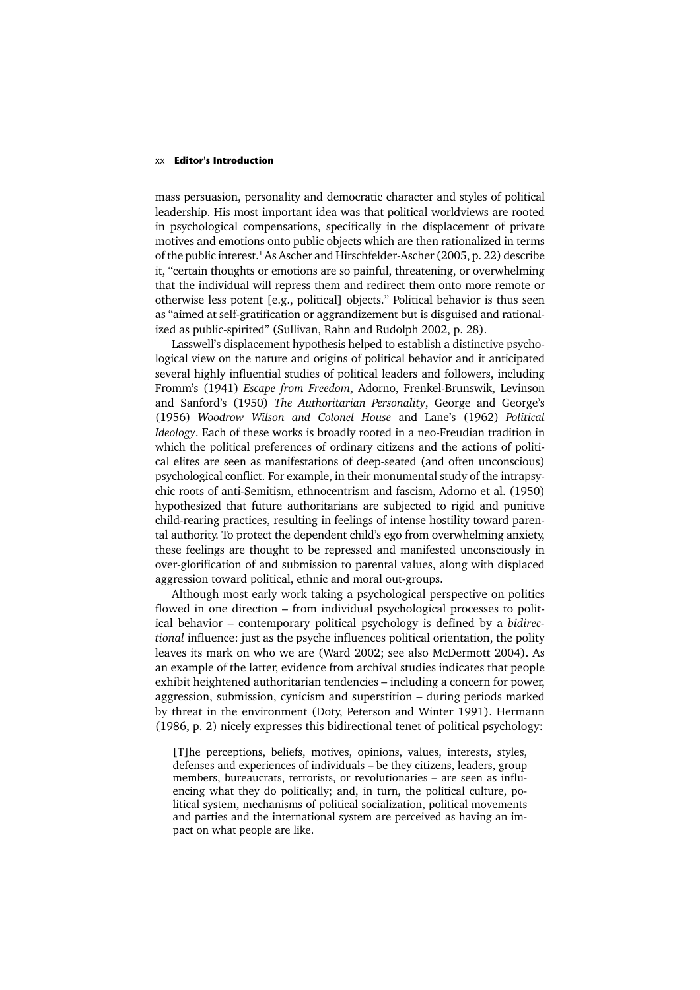### xx **Editor's Introduction**

mass persuasion, personality and democratic character and styles of political leadership. His most important idea was that political worldviews are rooted in psychological compensations, specifically in the displacement of private motives and emotions onto public objects which are then rationalized in terms of the public interest.<sup>1</sup> As Ascher and Hirschfelder-Ascher (2005, p. 22) describe it, "certain thoughts or emotions are so painful, threatening, or overwhelming that the individual will repress them and redirect them onto more remote or otherwise less potent [e.g., political] objects." Political behavior is thus seen as "aimed at self-gratification or aggrandizement but is disguised and rationalized as public-spirited" (Sullivan, Rahn and Rudolph 2002, p. 28).

Lasswell's displacement hypothesis helped to establish a distinctive psychological view on the nature and origins of political behavior and it anticipated several highly influential studies of political leaders and followers, including Fromm's (1941) *Escape from Freedom*, Adorno, Frenkel-Brunswik, Levinson and Sanford's (1950) *The Authoritarian Personality*, George and George's (1956) *Woodrow Wilson and Colonel House* and Lane's (1962) *Political Ideology*. Each of these works is broadly rooted in a neo-Freudian tradition in which the political preferences of ordinary citizens and the actions of political elites are seen as manifestations of deep-seated (and often unconscious) psychological conflict. For example, in their monumental study of the intrapsychic roots of anti-Semitism, ethnocentrism and fascism, Adorno et al. (1950) hypothesized that future authoritarians are subjected to rigid and punitive child-rearing practices, resulting in feelings of intense hostility toward parental authority. To protect the dependent child's ego from overwhelming anxiety, these feelings are thought to be repressed and manifested unconsciously in over-glorification of and submission to parental values, along with displaced aggression toward political, ethnic and moral out-groups.

Although most early work taking a psychological perspective on politics flowed in one direction – from individual psychological processes to political behavior – contemporary political psychology is defined by a *bidirectional* influence: just as the psyche influences political orientation, the polity leaves its mark on who we are (Ward 2002; see also McDermott 2004). As an example of the latter, evidence from archival studies indicates that people exhibit heightened authoritarian tendencies – including a concern for power, aggression, submission, cynicism and superstition – during periods marked by threat in the environment (Doty, Peterson and Winter 1991). Hermann (1986, p. 2) nicely expresses this bidirectional tenet of political psychology:

[T]he perceptions, beliefs, motives, opinions, values, interests, styles, defenses and experiences of individuals – be they citizens, leaders, group members, bureaucrats, terrorists, or revolutionaries – are seen as influencing what they do politically; and, in turn, the political culture, political system, mechanisms of political socialization, political movements and parties and the international system are perceived as having an impact on what people are like.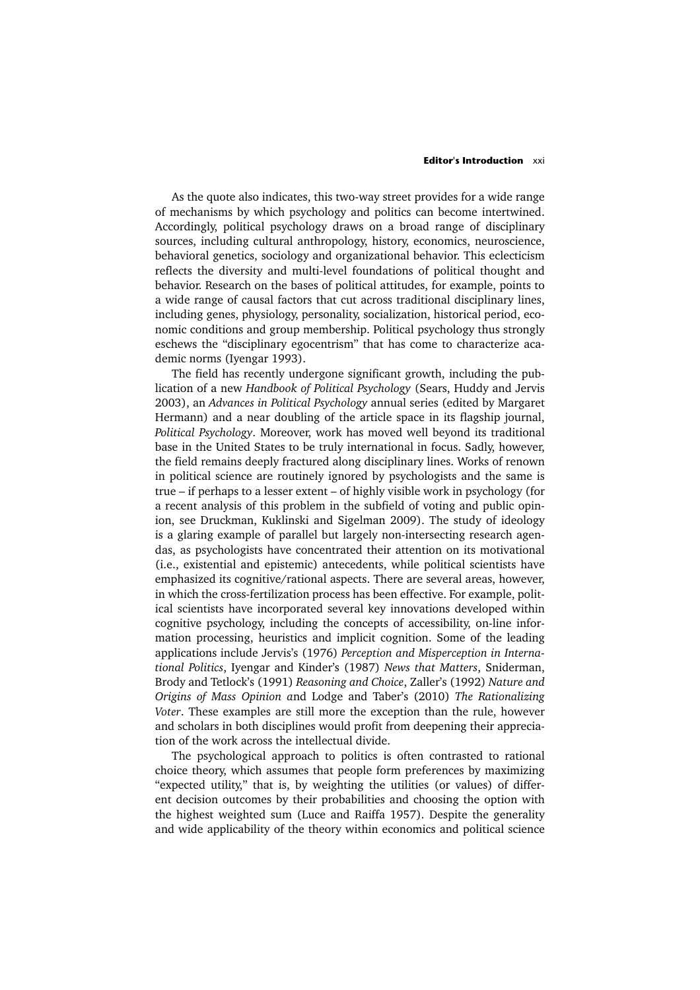### **Editor's Introduction** xxi

As the quote also indicates, this two-way street provides for a wide range of mechanisms by which psychology and politics can become intertwined. Accordingly, political psychology draws on a broad range of disciplinary sources, including cultural anthropology, history, economics, neuroscience, behavioral genetics, sociology and organizational behavior. This eclecticism reflects the diversity and multi-level foundations of political thought and behavior. Research on the bases of political attitudes, for example, points to a wide range of causal factors that cut across traditional disciplinary lines, including genes, physiology, personality, socialization, historical period, economic conditions and group membership. Political psychology thus strongly eschews the "disciplinary egocentrism" that has come to characterize academic norms (Iyengar 1993).

The field has recently undergone significant growth, including the publication of a new *Handbook of Political Psychology* (Sears, Huddy and Jervis 2003), an *Advances in Political Psychology* annual series (edited by Margaret Hermann) and a near doubling of the article space in its flagship journal, *Political Psychology*. Moreover, work has moved well beyond its traditional base in the United States to be truly international in focus. Sadly, however, the field remains deeply fractured along disciplinary lines. Works of renown in political science are routinely ignored by psychologists and the same is true – if perhaps to a lesser extent – of highly visible work in psychology (for a recent analysis of this problem in the subfield of voting and public opinion, see Druckman, Kuklinski and Sigelman 2009). The study of ideology is a glaring example of parallel but largely non-intersecting research agendas, as psychologists have concentrated their attention on its motivational (i.e., existential and epistemic) antecedents, while political scientists have emphasized its cognitive/rational aspects. There are several areas, however, in which the cross-fertilization process has been effective. For example, political scientists have incorporated several key innovations developed within cognitive psychology, including the concepts of accessibility, on-line information processing, heuristics and implicit cognition. Some of the leading applications include Jervis's (1976) *Perception and Misperception in International Politics*, Iyengar and Kinder's (1987) *News that Matters*, Sniderman, Brody and Tetlock's (1991) *Reasoning and Choice*, Zaller's (1992) *Nature and Origins of Mass Opinion a*nd Lodge and Taber's (2010) *The Rationalizing Voter*. These examples are still more the exception than the rule, however and scholars in both disciplines would profit from deepening their appreciation of the work across the intellectual divide.

The psychological approach to politics is often contrasted to rational choice theory, which assumes that people form preferences by maximizing "expected utility," that is, by weighting the utilities (or values) of different decision outcomes by their probabilities and choosing the option with the highest weighted sum (Luce and Raiffa 1957). Despite the generality and wide applicability of the theory within economics and political science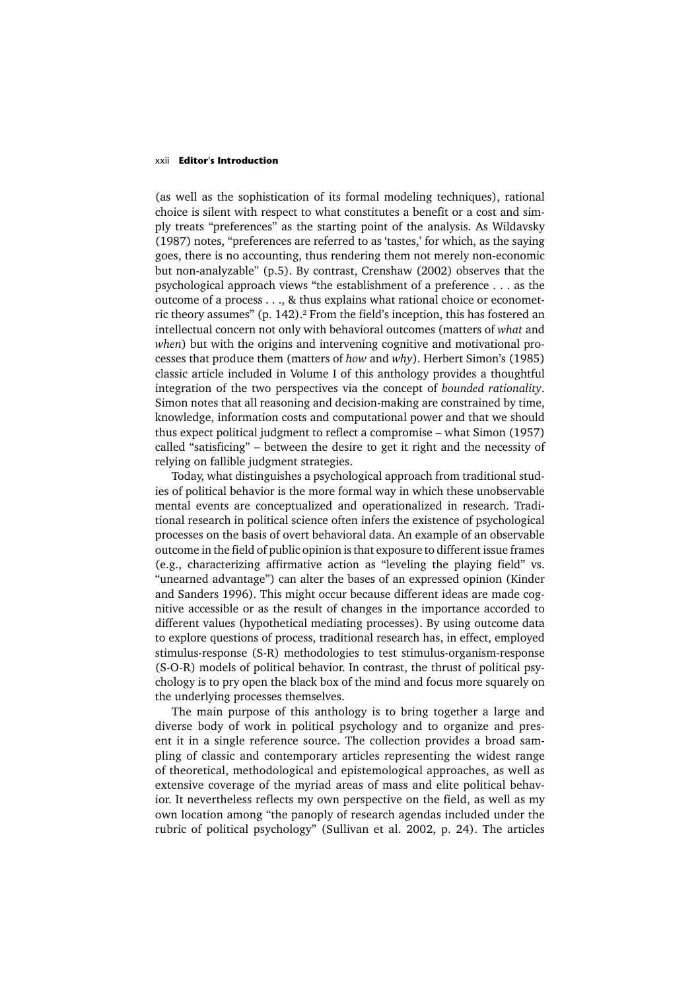### xxii **Editor's Introduction**

(as well as the sophistication of its formal modeling techniques), rational choice is silent with respect to what constitutes a benefit or a cost and simply treats "preferences" as the starting point of the analysis. As Wildavsky (1987) notes, "preferences are referred to as 'tastes,' for which, as the saying goes, there is no accounting, thus rendering them not merely non-economic but non-analyzable" (p.5). By contrast, Crenshaw (2002) observes that the psychological approach views "the establishment of a preference . . . as the outcome of a process . . ., & thus explains what rational choice or econometric theory assumes" (p. 142).<sup>2</sup> From the field's inception, this has fostered an intellectual concern not only with behavioral outcomes (matters of *what* and *when*) but with the origins and intervening cognitive and motivational processes that produce them (matters of *how* and *why*). Herbert Simon's (1985) classic article included in Volume I of this anthology provides a thoughtful integration of the two perspectives via the concept of *bounded rationality*. Simon notes that all reasoning and decision-making are constrained by time, knowledge, information costs and computational power and that we should thus expect political judgment to reflect a compromise – what Simon (1957) called "satisficing" – between the desire to get it right and the necessity of relying on fallible judgment strategies.

Today, what distinguishes a psychological approach from traditional studies of political behavior is the more formal way in which these unobservable mental events are conceptualized and operationalized in research. Traditional research in political science often infers the existence of psychological processes on the basis of overt behavioral data. An example of an observable outcome in the field of public opinion is that exposure to different issue frames (e.g., characterizing affirmative action as "leveling the playing field" vs. "unearned advantage") can alter the bases of an expressed opinion (Kinder and Sanders 1996). This might occur because different ideas are made cognitive accessible or as the result of changes in the importance accorded to different values (hypothetical mediating processes). By using outcome data to explore questions of process, traditional research has, in effect, employed stimulus-response (S-R) methodologies to test stimulus-organism-response (S-O-R) models of political behavior. In contrast, the thrust of political psychology is to pry open the black box of the mind and focus more squarely on the underlying processes themselves.

The main purpose of this anthology is to bring together a large and diverse body of work in political psychology and to organize and present it in a single reference source. The collection provides a broad sampling of classic and contemporary articles representing the widest range of theoretical, methodological and epistemological approaches, as well as extensive coverage of the myriad areas of mass and elite political behavior. It nevertheless reflects my own perspective on the field, as well as my own location among "the panoply of research agendas included under the rubric of political psychology" (Sullivan et al. 2002, p. 24). The articles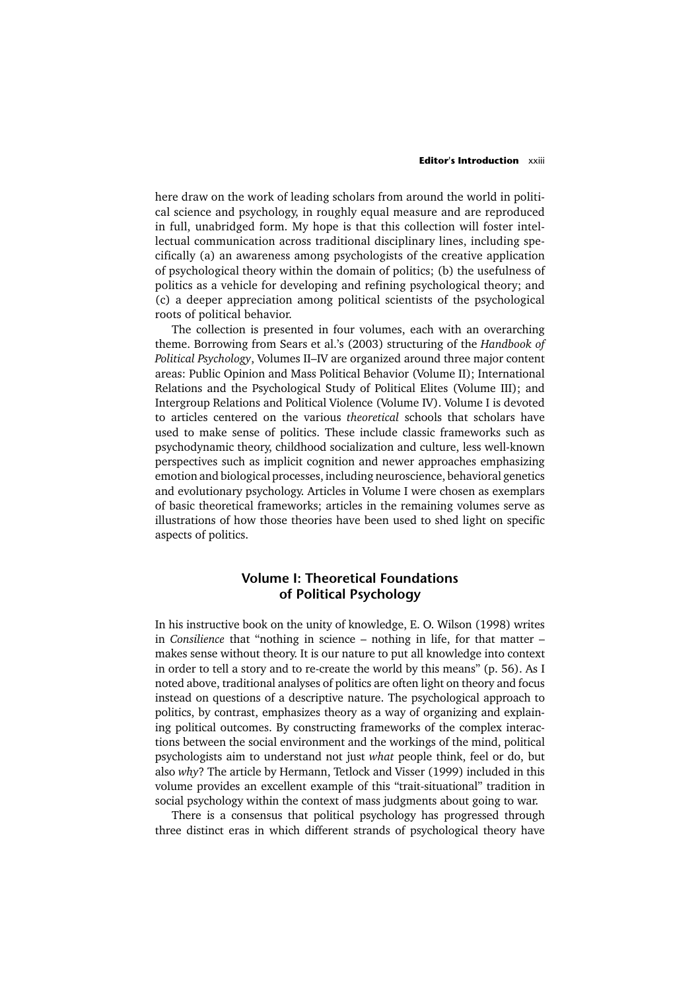### **Editor's Introduction** xxiii

here draw on the work of leading scholars from around the world in political science and psychology, in roughly equal measure and are reproduced in full, unabridged form. My hope is that this collection will foster intellectual communication across traditional disciplinary lines, including specifically (a) an awareness among psychologists of the creative application of psychological theory within the domain of politics; (b) the usefulness of politics as a vehicle for developing and refining psychological theory; and (c) a deeper appreciation among political scientists of the psychological roots of political behavior.

The collection is presented in four volumes, each with an overarching theme. Borrowing from Sears et al.'s (2003) structuring of the *Handbook of Political Psychology*, Volumes II–IV are organized around three major content areas: Public Opinion and Mass Political Behavior (Volume II); International Relations and the Psychological Study of Political Elites (Volume III); and Intergroup Relations and Political Violence (Volume IV). Volume I is devoted to articles centered on the various *theoretical* schools that scholars have used to make sense of politics. These include classic frameworks such as psychodynamic theory, childhood socialization and culture, less well-known perspectives such as implicit cognition and newer approaches emphasizing emotion and biological processes, including neuroscience, behavioral genetics and evolutionary psychology. Articles in Volume I were chosen as exemplars of basic theoretical frameworks; articles in the remaining volumes serve as illustrations of how those theories have been used to shed light on specific aspects of politics.

# **Volume I: Theoretical Foundations of Political Psychology**

In his instructive book on the unity of knowledge, E. O. Wilson (1998) writes in *Consilience* that "nothing in science – nothing in life, for that matter – makes sense without theory. It is our nature to put all knowledge into context in order to tell a story and to re-create the world by this means" (p. 56). As I noted above, traditional analyses of politics are often light on theory and focus instead on questions of a descriptive nature. The psychological approach to politics, by contrast, emphasizes theory as a way of organizing and explaining political outcomes. By constructing frameworks of the complex interactions between the social environment and the workings of the mind, political psychologists aim to understand not just *what* people think, feel or do, but also *why*? The article by Hermann, Tetlock and Visser (1999) included in this volume provides an excellent example of this "trait-situational" tradition in social psychology within the context of mass judgments about going to war.

There is a consensus that political psychology has progressed through three distinct eras in which different strands of psychological theory have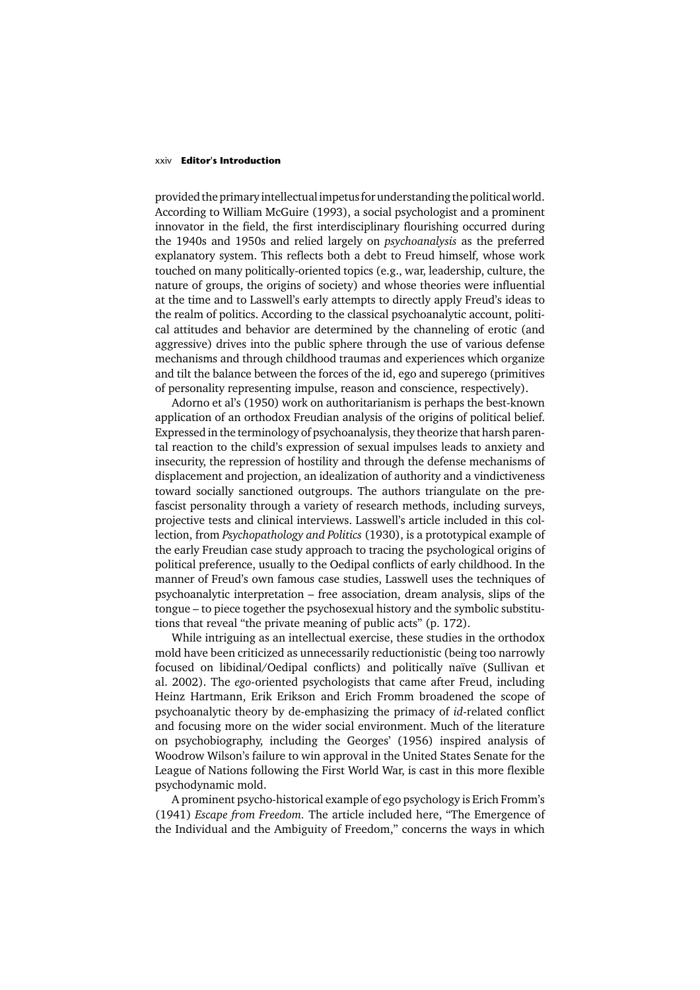### xxiv **Editor's Introduction**

provided the primary intellectual impetus for understanding the political world. According to William McGuire (1993), a social psychologist and a prominent innovator in the field, the first interdisciplinary flourishing occurred during the 1940s and 1950s and relied largely on *psychoanalysis* as the preferred explanatory system. This reflects both a debt to Freud himself, whose work touched on many politically-oriented topics (e.g., war, leadership, culture, the nature of groups, the origins of society) and whose theories were influential at the time and to Lasswell's early attempts to directly apply Freud's ideas to the realm of politics. According to the classical psychoanalytic account, political attitudes and behavior are determined by the channeling of erotic (and aggressive) drives into the public sphere through the use of various defense mechanisms and through childhood traumas and experiences which organize and tilt the balance between the forces of the id, ego and superego (primitives of personality representing impulse, reason and conscience, respectively).

Adorno et al's (1950) work on authoritarianism is perhaps the best-known application of an orthodox Freudian analysis of the origins of political belief. Expressed in the terminology of psychoanalysis, they theorize that harsh parental reaction to the child's expression of sexual impulses leads to anxiety and insecurity, the repression of hostility and through the defense mechanisms of displacement and projection, an idealization of authority and a vindictiveness toward socially sanctioned outgroups. The authors triangulate on the prefascist personality through a variety of research methods, including surveys, projective tests and clinical interviews. Lasswell's article included in this collection, from *Psychopathology and Politics* (1930), is a prototypical example of the early Freudian case study approach to tracing the psychological origins of political preference, usually to the Oedipal conflicts of early childhood. In the manner of Freud's own famous case studies, Lasswell uses the techniques of psychoanalytic interpretation – free association, dream analysis, slips of the tongue – to piece together the psychosexual history and the symbolic substitutions that reveal "the private meaning of public acts" (p. 172).

While intriguing as an intellectual exercise, these studies in the orthodox mold have been criticized as unnecessarily reductionistic (being too narrowly focused on libidinal/Oedipal conflicts) and politically naïve (Sullivan et al. 2002). The *ego-*oriented psychologists that came after Freud, including Heinz Hartmann, Erik Erikson and Erich Fromm broadened the scope of psychoanalytic theory by de-emphasizing the primacy of *id*-related conflict and focusing more on the wider social environment. Much of the literature on psychobiography, including the Georges' (1956) inspired analysis of Woodrow Wilson's failure to win approval in the United States Senate for the League of Nations following the First World War, is cast in this more flexible psychodynamic mold.

A prominent psycho-historical example of ego psychology is Erich Fromm's (1941) *Escape from Freedom.* The article included here, "The Emergence of the Individual and the Ambiguity of Freedom," concerns the ways in which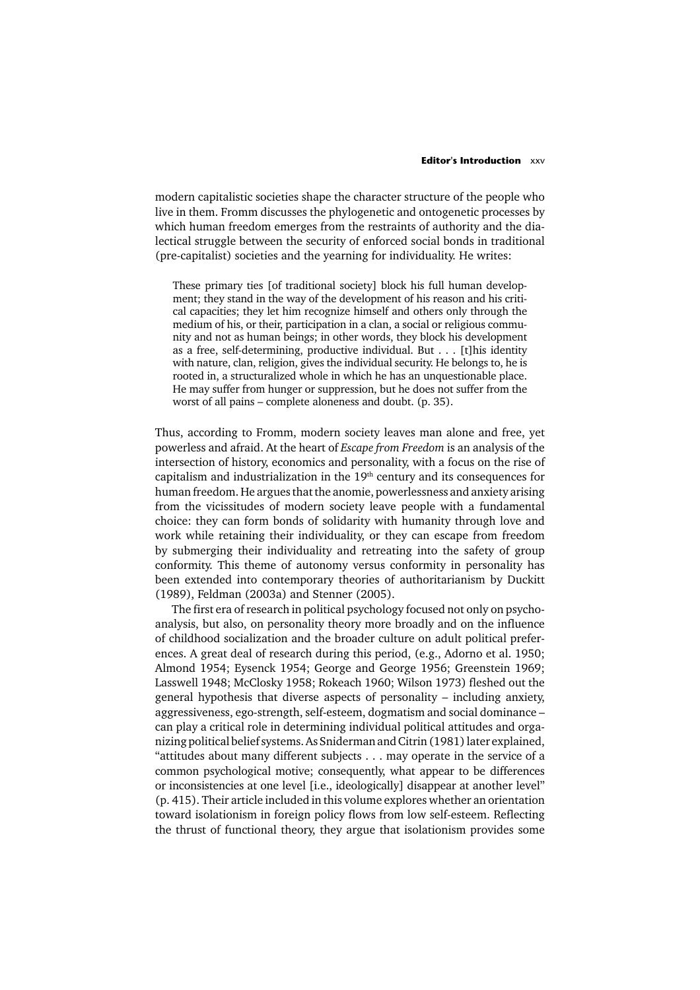### **Editor's Introduction** xxv

modern capitalistic societies shape the character structure of the people who live in them. Fromm discusses the phylogenetic and ontogenetic processes by which human freedom emerges from the restraints of authority and the dialectical struggle between the security of enforced social bonds in traditional (pre-capitalist) societies and the yearning for individuality. He writes:

These primary ties [of traditional society] block his full human development; they stand in the way of the development of his reason and his critical capacities; they let him recognize himself and others only through the medium of his, or their, participation in a clan, a social or religious community and not as human beings; in other words, they block his development as a free, self-determining, productive individual. But . . . [t]his identity with nature, clan, religion, gives the individual security. He belongs to, he is rooted in, a structuralized whole in which he has an unquestionable place. He may suffer from hunger or suppression, but he does not suffer from the worst of all pains – complete aloneness and doubt. (p. 35).

Thus, according to Fromm, modern society leaves man alone and free, yet powerless and afraid. At the heart of *Escape from Freedom* is an analysis of the intersection of history, economics and personality, with a focus on the rise of capitalism and industrialization in the 19<sup>th</sup> century and its consequences for human freedom. He argues that the anomie, powerlessness and anxiety arising from the vicissitudes of modern society leave people with a fundamental choice: they can form bonds of solidarity with humanity through love and work while retaining their individuality, or they can escape from freedom by submerging their individuality and retreating into the safety of group conformity. This theme of autonomy versus conformity in personality has been extended into contemporary theories of authoritarianism by Duckitt (1989), Feldman (2003a) and Stenner (2005).

The first era of research in political psychology focused not only on psychoanalysis, but also, on personality theory more broadly and on the influence of childhood socialization and the broader culture on adult political preferences. A great deal of research during this period, (e.g., Adorno et al. 1950; Almond 1954; Eysenck 1954; George and George 1956; Greenstein 1969; Lasswell 1948; McClosky 1958; Rokeach 1960; Wilson 1973) fleshed out the general hypothesis that diverse aspects of personality – including anxiety, aggressiveness, ego-strength, self-esteem, dogmatism and social dominance – can play a critical role in determining individual political attitudes and organizing political belief systems. As Sniderman and Citrin (1981) later explained, "attitudes about many different subjects . . . may operate in the service of a common psychological motive; consequently, what appear to be differences or inconsistencies at one level [i.e., ideologically] disappear at another level" (p. 415). Their article included in this volume explores whether an orientation toward isolationism in foreign policy flows from low self-esteem. Reflecting the thrust of functional theory, they argue that isolationism provides some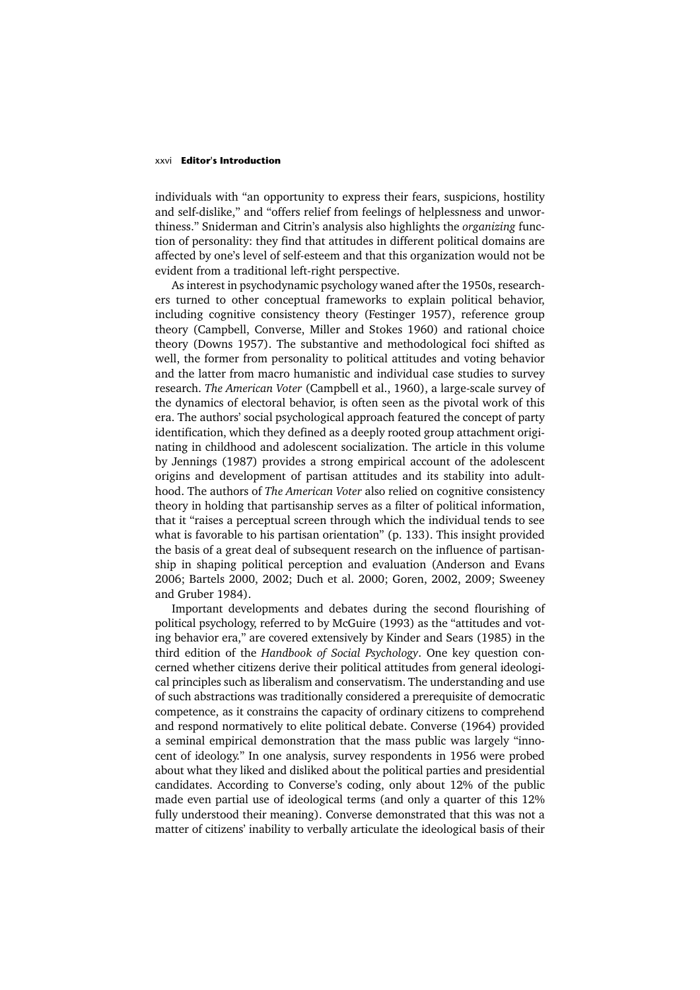#### xxvi **Editor's Introduction**

individuals with "an opportunity to express their fears, suspicions, hostility and self-dislike," and "offers relief from feelings of helplessness and unworthiness." Sniderman and Citrin's analysis also highlights the *organizing* function of personality: they find that attitudes in different political domains are affected by one's level of self-esteem and that this organization would not be evident from a traditional left-right perspective.

As interest in psychodynamic psychology waned after the 1950s, researchers turned to other conceptual frameworks to explain political behavior, including cognitive consistency theory (Festinger 1957), reference group theory (Campbell, Converse, Miller and Stokes 1960) and rational choice theory (Downs 1957). The substantive and methodological foci shifted as well, the former from personality to political attitudes and voting behavior and the latter from macro humanistic and individual case studies to survey research. *The American Voter* (Campbell et al., 1960), a large-scale survey of the dynamics of electoral behavior, is often seen as the pivotal work of this era. The authors' social psychological approach featured the concept of party identification, which they defined as a deeply rooted group attachment originating in childhood and adolescent socialization. The article in this volume by Jennings (1987) provides a strong empirical account of the adolescent origins and development of partisan attitudes and its stability into adulthood. The authors of *The American Voter* also relied on cognitive consistency theory in holding that partisanship serves as a filter of political information, that it "raises a perceptual screen through which the individual tends to see what is favorable to his partisan orientation" (p. 133). This insight provided the basis of a great deal of subsequent research on the influence of partisanship in shaping political perception and evaluation (Anderson and Evans 2006; Bartels 2000, 2002; Duch et al. 2000; Goren, 2002, 2009; Sweeney and Gruber 1984).

Important developments and debates during the second flourishing of political psychology, referred to by McGuire (1993) as the "attitudes and voting behavior era," are covered extensively by Kinder and Sears (1985) in the third edition of the *Handbook of Social Psychology*. One key question concerned whether citizens derive their political attitudes from general ideological principles such as liberalism and conservatism. The understanding and use of such abstractions was traditionally considered a prerequisite of democratic competence, as it constrains the capacity of ordinary citizens to comprehend and respond normatively to elite political debate. Converse (1964) provided a seminal empirical demonstration that the mass public was largely "innocent of ideology." In one analysis, survey respondents in 1956 were probed about what they liked and disliked about the political parties and presidential candidates. According to Converse's coding, only about 12% of the public made even partial use of ideological terms (and only a quarter of this 12% fully understood their meaning). Converse demonstrated that this was not a matter of citizens' inability to verbally articulate the ideological basis of their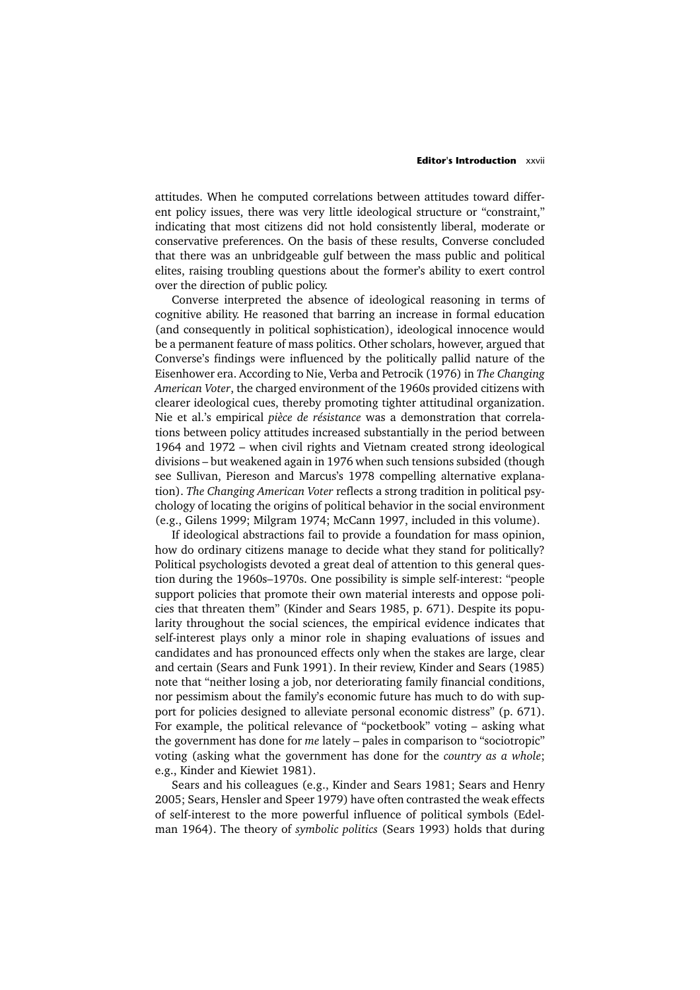### **Editor's Introduction** xxvii

attitudes. When he computed correlations between attitudes toward different policy issues, there was very little ideological structure or "constraint," indicating that most citizens did not hold consistently liberal, moderate or conservative preferences. On the basis of these results, Converse concluded that there was an unbridgeable gulf between the mass public and political elites, raising troubling questions about the former's ability to exert control over the direction of public policy.

Converse interpreted the absence of ideological reasoning in terms of cognitive ability. He reasoned that barring an increase in formal education (and consequently in political sophistication), ideological innocence would be a permanent feature of mass politics. Other scholars, however, argued that Converse's findings were influenced by the politically pallid nature of the Eisenhower era. According to Nie, Verba and Petrocik (1976) in *The Changing American Voter*, the charged environment of the 1960s provided citizens with clearer ideological cues, thereby promoting tighter attitudinal organization. Nie et al.'s empirical *pièce de résistance* was a demonstration that correlations between policy attitudes increased substantially in the period between 1964 and 1972 – when civil rights and Vietnam created strong ideological divisions – but weakened again in 1976 when such tensions subsided (though see Sullivan, Piereson and Marcus's 1978 compelling alternative explanation). *The Changing American Voter* reflects a strong tradition in political psychology of locating the origins of political behavior in the social environment (e.g., Gilens 1999; Milgram 1974; McCann 1997, included in this volume).

If ideological abstractions fail to provide a foundation for mass opinion, how do ordinary citizens manage to decide what they stand for politically? Political psychologists devoted a great deal of attention to this general question during the 1960s–1970s. One possibility is simple self-interest: "people support policies that promote their own material interests and oppose policies that threaten them" (Kinder and Sears 1985, p. 671). Despite its popularity throughout the social sciences, the empirical evidence indicates that self-interest plays only a minor role in shaping evaluations of issues and candidates and has pronounced effects only when the stakes are large, clear and certain (Sears and Funk 1991). In their review, Kinder and Sears (1985) note that "neither losing a job, nor deteriorating family financial conditions, nor pessimism about the family's economic future has much to do with support for policies designed to alleviate personal economic distress" (p. 671). For example, the political relevance of "pocketbook" voting – asking what the government has done for *me* lately – pales in comparison to "sociotropic" voting (asking what the government has done for the *country as a whole*; e.g., Kinder and Kiewiet 1981).

Sears and his colleagues (e.g., Kinder and Sears 1981; Sears and Henry 2005; Sears, Hensler and Speer 1979) have often contrasted the weak effects of self-interest to the more powerful influence of political symbols (Edelman 1964). The theory of *symbolic politics* (Sears 1993) holds that during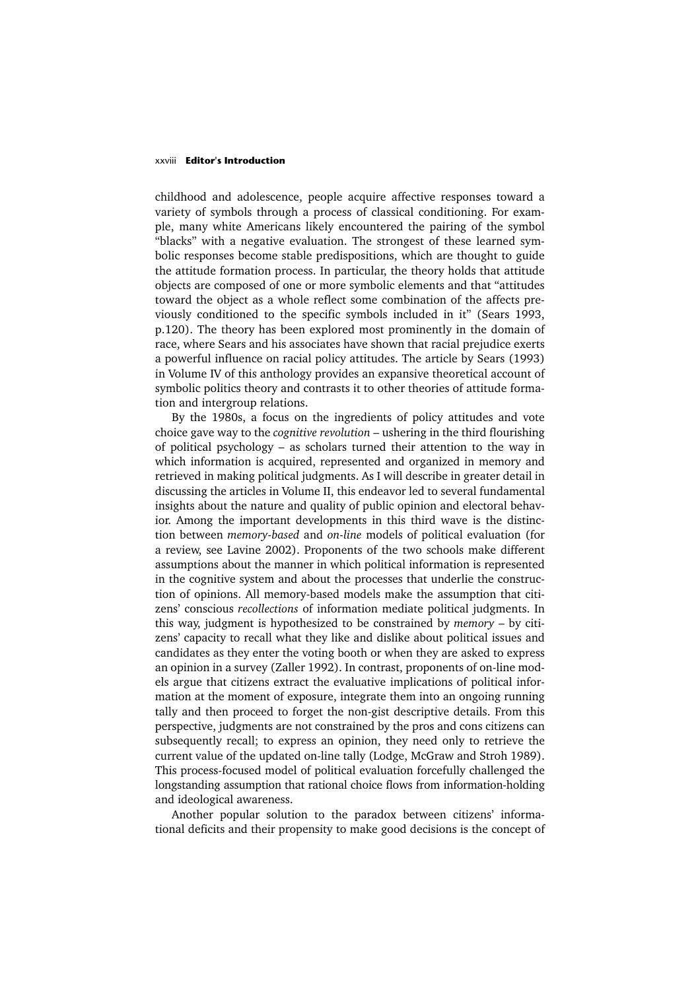### xxviii **Editor's Introduction**

childhood and adolescence, people acquire affective responses toward a variety of symbols through a process of classical conditioning. For example, many white Americans likely encountered the pairing of the symbol "blacks" with a negative evaluation. The strongest of these learned symbolic responses become stable predispositions, which are thought to guide the attitude formation process. In particular, the theory holds that attitude objects are composed of one or more symbolic elements and that "attitudes toward the object as a whole reflect some combination of the affects previously conditioned to the specific symbols included in it" (Sears 1993, p.120). The theory has been explored most prominently in the domain of race, where Sears and his associates have shown that racial prejudice exerts a powerful influence on racial policy attitudes. The article by Sears (1993) in Volume IV of this anthology provides an expansive theoretical account of symbolic politics theory and contrasts it to other theories of attitude formation and intergroup relations.

By the 1980s, a focus on the ingredients of policy attitudes and vote choice gave way to the *cognitive revolution* – ushering in the third flourishing of political psychology – as scholars turned their attention to the way in which information is acquired, represented and organized in memory and retrieved in making political judgments. As I will describe in greater detail in discussing the articles in Volume II, this endeavor led to several fundamental insights about the nature and quality of public opinion and electoral behavior. Among the important developments in this third wave is the distinction between *memory-based* and *on-line* models of political evaluation (for a review, see Lavine 2002). Proponents of the two schools make different assumptions about the manner in which political information is represented in the cognitive system and about the processes that underlie the construction of opinions. All memory-based models make the assumption that citizens' conscious *recollections* of information mediate political judgments. In this way, judgment is hypothesized to be constrained by *memory* – by citizens' capacity to recall what they like and dislike about political issues and candidates as they enter the voting booth or when they are asked to express an opinion in a survey (Zaller 1992). In contrast, proponents of on-line models argue that citizens extract the evaluative implications of political information at the moment of exposure, integrate them into an ongoing running tally and then proceed to forget the non-gist descriptive details. From this perspective, judgments are not constrained by the pros and cons citizens can subsequently recall; to express an opinion, they need only to retrieve the current value of the updated on-line tally (Lodge, McGraw and Stroh 1989). This process-focused model of political evaluation forcefully challenged the longstanding assumption that rational choice flows from information-holding and ideological awareness.

Another popular solution to the paradox between citizens' informational deficits and their propensity to make good decisions is the concept of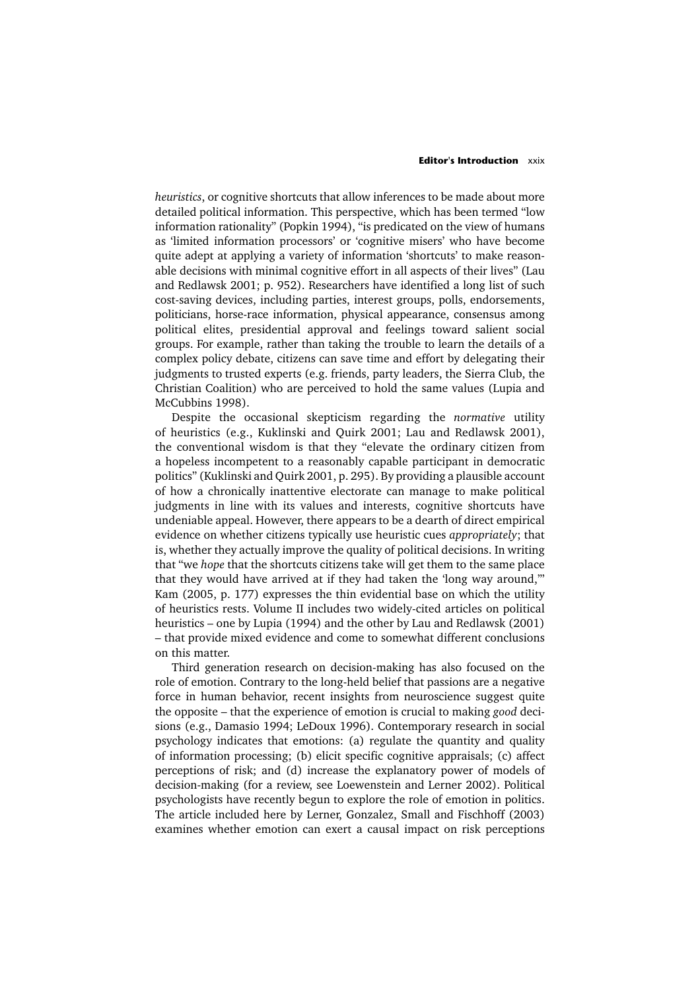### **Editor's Introduction** xxix

*heuristics*, or cognitive shortcuts that allow inferences to be made about more detailed political information. This perspective, which has been termed "low information rationality" (Popkin 1994), "is predicated on the view of humans as 'limited information processors' or 'cognitive misers' who have become quite adept at applying a variety of information 'shortcuts' to make reasonable decisions with minimal cognitive effort in all aspects of their lives" (Lau and Redlawsk 2001; p. 952). Researchers have identified a long list of such cost-saving devices, including parties, interest groups, polls, endorsements, politicians, horse-race information, physical appearance, consensus among political elites, presidential approval and feelings toward salient social groups. For example, rather than taking the trouble to learn the details of a complex policy debate, citizens can save time and effort by delegating their judgments to trusted experts (e.g. friends, party leaders, the Sierra Club, the Christian Coalition) who are perceived to hold the same values (Lupia and McCubbins 1998).

Despite the occasional skepticism regarding the *normative* utility of heuristics (e.g., Kuklinski and Quirk 2001; Lau and Redlawsk 2001), the conventional wisdom is that they "elevate the ordinary citizen from a hopeless incompetent to a reasonably capable participant in democratic politics" (Kuklinski and Quirk 2001, p. 295). By providing a plausible account of how a chronically inattentive electorate can manage to make political judgments in line with its values and interests, cognitive shortcuts have undeniable appeal. However, there appears to be a dearth of direct empirical evidence on whether citizens typically use heuristic cues *appropriately*; that is, whether they actually improve the quality of political decisions. In writing that "we *hope* that the shortcuts citizens take will get them to the same place that they would have arrived at if they had taken the 'long way around,'" Kam (2005, p. 177) expresses the thin evidential base on which the utility of heuristics rests. Volume II includes two widely-cited articles on political heuristics – one by Lupia (1994) and the other by Lau and Redlawsk (2001) – that provide mixed evidence and come to somewhat different conclusions on this matter.

Third generation research on decision-making has also focused on the role of emotion. Contrary to the long-held belief that passions are a negative force in human behavior, recent insights from neuroscience suggest quite the opposite – that the experience of emotion is crucial to making *good* decisions (e.g., Damasio 1994; LeDoux 1996). Contemporary research in social psychology indicates that emotions: (a) regulate the quantity and quality of information processing; (b) elicit specific cognitive appraisals; (c) affect perceptions of risk; and (d) increase the explanatory power of models of decision-making (for a review, see Loewenstein and Lerner 2002). Political psychologists have recently begun to explore the role of emotion in politics. The article included here by Lerner, Gonzalez, Small and Fischhoff (2003) examines whether emotion can exert a causal impact on risk perceptions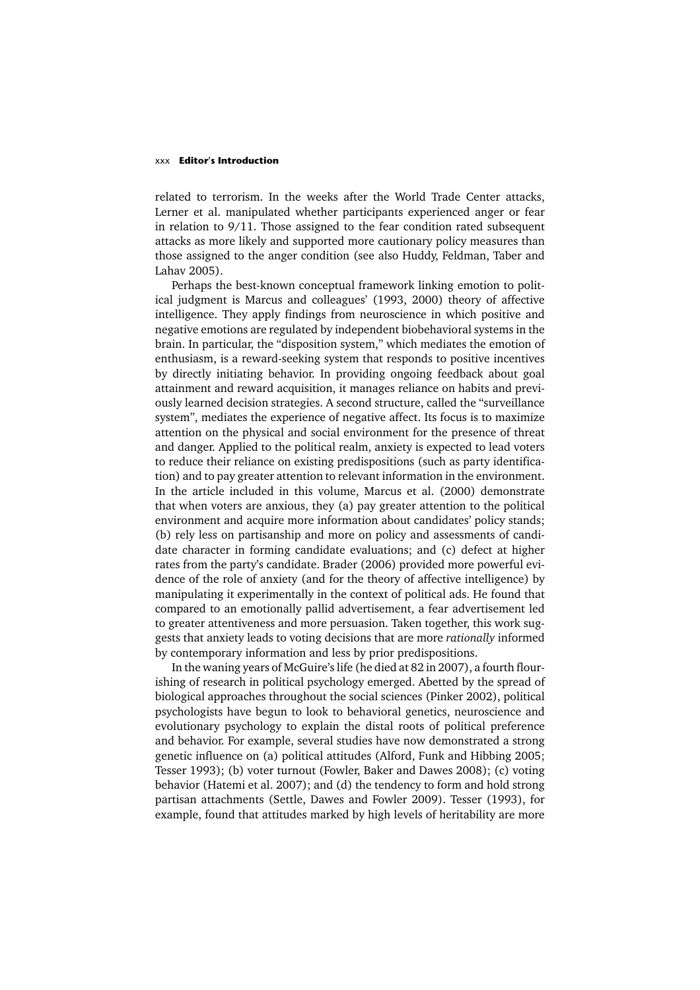### xxx **Editor's Introduction**

related to terrorism. In the weeks after the World Trade Center attacks, Lerner et al. manipulated whether participants experienced anger or fear in relation to 9/11. Those assigned to the fear condition rated subsequent attacks as more likely and supported more cautionary policy measures than those assigned to the anger condition (see also Huddy, Feldman, Taber and Lahav 2005).

Perhaps the best-known conceptual framework linking emotion to political judgment is Marcus and colleagues' (1993, 2000) theory of affective intelligence. They apply findings from neuroscience in which positive and negative emotions are regulated by independent biobehavioral systems in the brain. In particular, the "disposition system," which mediates the emotion of enthusiasm, is a reward-seeking system that responds to positive incentives by directly initiating behavior. In providing ongoing feedback about goal attainment and reward acquisition, it manages reliance on habits and previously learned decision strategies. A second structure, called the "surveillance system", mediates the experience of negative affect. Its focus is to maximize attention on the physical and social environment for the presence of threat and danger. Applied to the political realm, anxiety is expected to lead voters to reduce their reliance on existing predispositions (such as party identification) and to pay greater attention to relevant information in the environment. In the article included in this volume, Marcus et al. (2000) demonstrate that when voters are anxious, they (a) pay greater attention to the political environment and acquire more information about candidates' policy stands; (b) rely less on partisanship and more on policy and assessments of candidate character in forming candidate evaluations; and (c) defect at higher rates from the party's candidate. Brader (2006) provided more powerful evidence of the role of anxiety (and for the theory of affective intelligence) by manipulating it experimentally in the context of political ads. He found that compared to an emotionally pallid advertisement, a fear advertisement led to greater attentiveness and more persuasion. Taken together, this work suggests that anxiety leads to voting decisions that are more *rationally* informed by contemporary information and less by prior predispositions.

In the waning years of McGuire's life (he died at 82 in 2007), a fourth flourishing of research in political psychology emerged. Abetted by the spread of biological approaches throughout the social sciences (Pinker 2002), political psychologists have begun to look to behavioral genetics, neuroscience and evolutionary psychology to explain the distal roots of political preference and behavior. For example, several studies have now demonstrated a strong genetic influence on (a) political attitudes (Alford, Funk and Hibbing 2005; Tesser 1993); (b) voter turnout (Fowler, Baker and Dawes 2008); (c) voting behavior (Hatemi et al. 2007); and (d) the tendency to form and hold strong partisan attachments (Settle, Dawes and Fowler 2009). Tesser (1993), for example, found that attitudes marked by high levels of heritability are more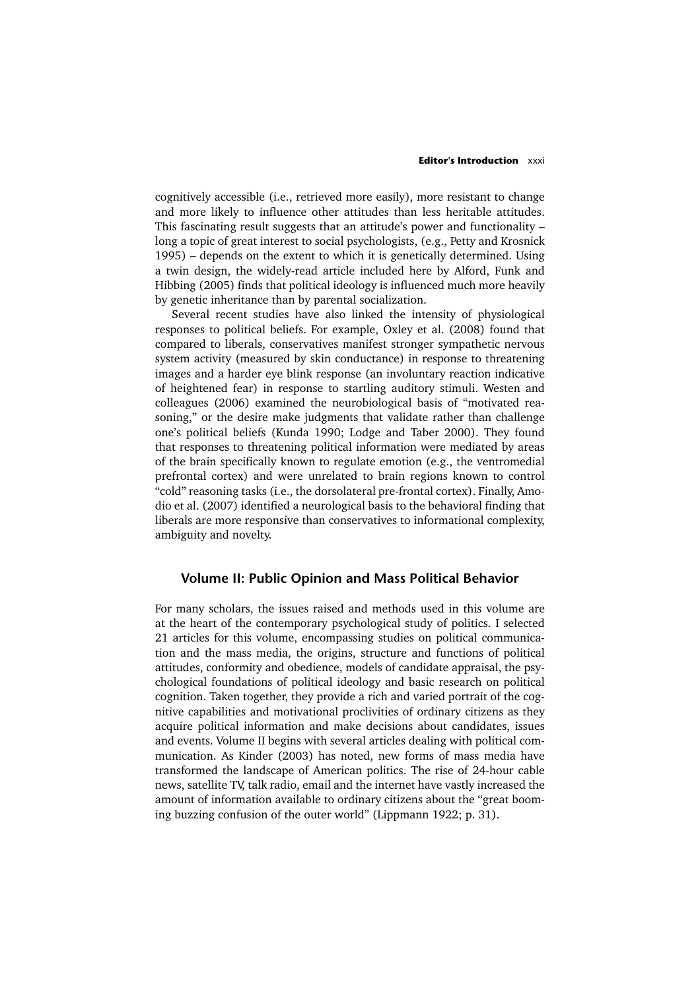### **Editor's Introduction** xxxi

cognitively accessible (i.e., retrieved more easily), more resistant to change and more likely to influence other attitudes than less heritable attitudes. This fascinating result suggests that an attitude's power and functionality – long a topic of great interest to social psychologists, (e.g., Petty and Krosnick 1995) – depends on the extent to which it is genetically determined. Using a twin design, the widely-read article included here by Alford, Funk and Hibbing (2005) finds that political ideology is influenced much more heavily by genetic inheritance than by parental socialization.

Several recent studies have also linked the intensity of physiological responses to political beliefs. For example, Oxley et al. (2008) found that compared to liberals, conservatives manifest stronger sympathetic nervous system activity (measured by skin conductance) in response to threatening images and a harder eye blink response (an involuntary reaction indicative of heightened fear) in response to startling auditory stimuli. Westen and colleagues (2006) examined the neurobiological basis of "motivated reasoning," or the desire make judgments that validate rather than challenge one's political beliefs (Kunda 1990; Lodge and Taber 2000). They found that responses to threatening political information were mediated by areas of the brain specifically known to regulate emotion (e.g., the ventromedial prefrontal cortex) and were unrelated to brain regions known to control "cold" reasoning tasks (i.e., the dorsolateral pre-frontal cortex). Finally, Amodio et al. (2007) identified a neurological basis to the behavioral finding that liberals are more responsive than conservatives to informational complexity, ambiguity and novelty.

### **Volume II: Public Opinion and Mass Political Behavior**

For many scholars, the issues raised and methods used in this volume are at the heart of the contemporary psychological study of politics. I selected 21 articles for this volume, encompassing studies on political communication and the mass media, the origins, structure and functions of political attitudes, conformity and obedience, models of candidate appraisal, the psychological foundations of political ideology and basic research on political cognition. Taken together, they provide a rich and varied portrait of the cognitive capabilities and motivational proclivities of ordinary citizens as they acquire political information and make decisions about candidates, issues and events. Volume II begins with several articles dealing with political communication. As Kinder (2003) has noted, new forms of mass media have transformed the landscape of American politics. The rise of 24-hour cable news, satellite TV, talk radio, email and the internet have vastly increased the amount of information available to ordinary citizens about the "great booming buzzing confusion of the outer world" (Lippmann 1922; p. 31).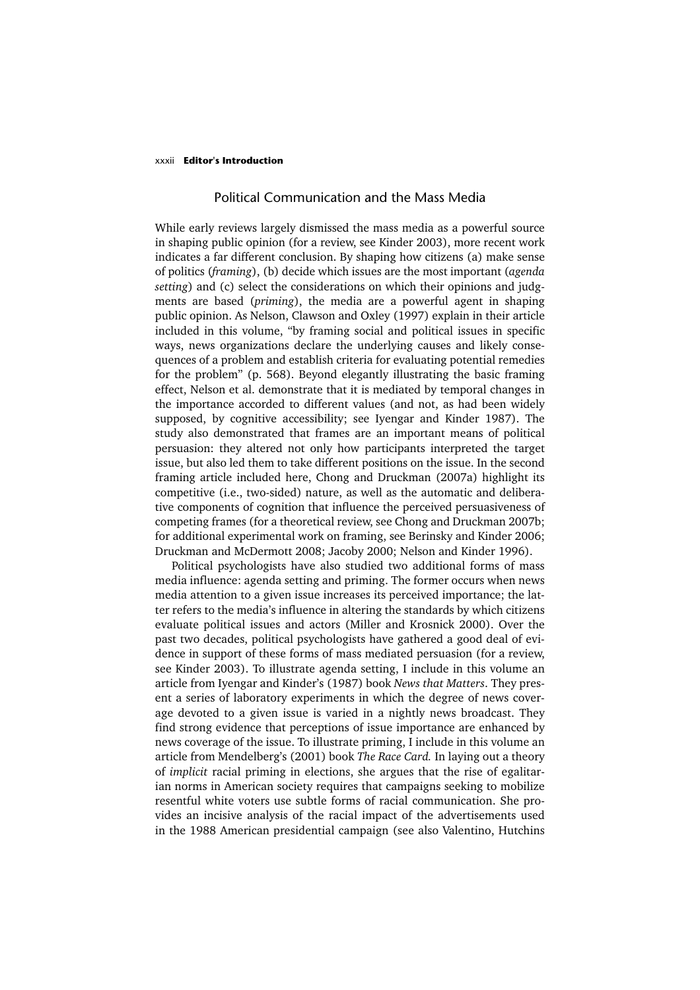### xxxii **Editor's Introduction**

### Political Communication and the Mass Media

While early reviews largely dismissed the mass media as a powerful source in shaping public opinion (for a review, see Kinder 2003), more recent work indicates a far different conclusion. By shaping how citizens (a) make sense of politics (*framing*), (b) decide which issues are the most important (*agenda setting*) and (c) select the considerations on which their opinions and judgments are based (*priming*), the media are a powerful agent in shaping public opinion. As Nelson, Clawson and Oxley (1997) explain in their article included in this volume, "by framing social and political issues in specific ways, news organizations declare the underlying causes and likely consequences of a problem and establish criteria for evaluating potential remedies for the problem" (p. 568). Beyond elegantly illustrating the basic framing effect, Nelson et al. demonstrate that it is mediated by temporal changes in the importance accorded to different values (and not, as had been widely supposed, by cognitive accessibility; see Iyengar and Kinder 1987). The study also demonstrated that frames are an important means of political persuasion: they altered not only how participants interpreted the target issue, but also led them to take different positions on the issue. In the second framing article included here, Chong and Druckman (2007a) highlight its competitive (i.e., two-sided) nature, as well as the automatic and deliberative components of cognition that influence the perceived persuasiveness of competing frames (for a theoretical review, see Chong and Druckman 2007b; for additional experimental work on framing, see Berinsky and Kinder 2006; Druckman and McDermott 2008; Jacoby 2000; Nelson and Kinder 1996).

Political psychologists have also studied two additional forms of mass media influence: agenda setting and priming. The former occurs when news media attention to a given issue increases its perceived importance; the latter refers to the media's influence in altering the standards by which citizens evaluate political issues and actors (Miller and Krosnick 2000). Over the past two decades, political psychologists have gathered a good deal of evidence in support of these forms of mass mediated persuasion (for a review, see Kinder 2003). To illustrate agenda setting, I include in this volume an article from Iyengar and Kinder's (1987) book *News that Matters*. They present a series of laboratory experiments in which the degree of news coverage devoted to a given issue is varied in a nightly news broadcast. They find strong evidence that perceptions of issue importance are enhanced by news coverage of the issue. To illustrate priming, I include in this volume an article from Mendelberg's (2001) book *The Race Card.* In laying out a theory of *implicit* racial priming in elections, she argues that the rise of egalitarian norms in American society requires that campaigns seeking to mobilize resentful white voters use subtle forms of racial communication. She provides an incisive analysis of the racial impact of the advertisements used in the 1988 American presidential campaign (see also Valentino, Hutchins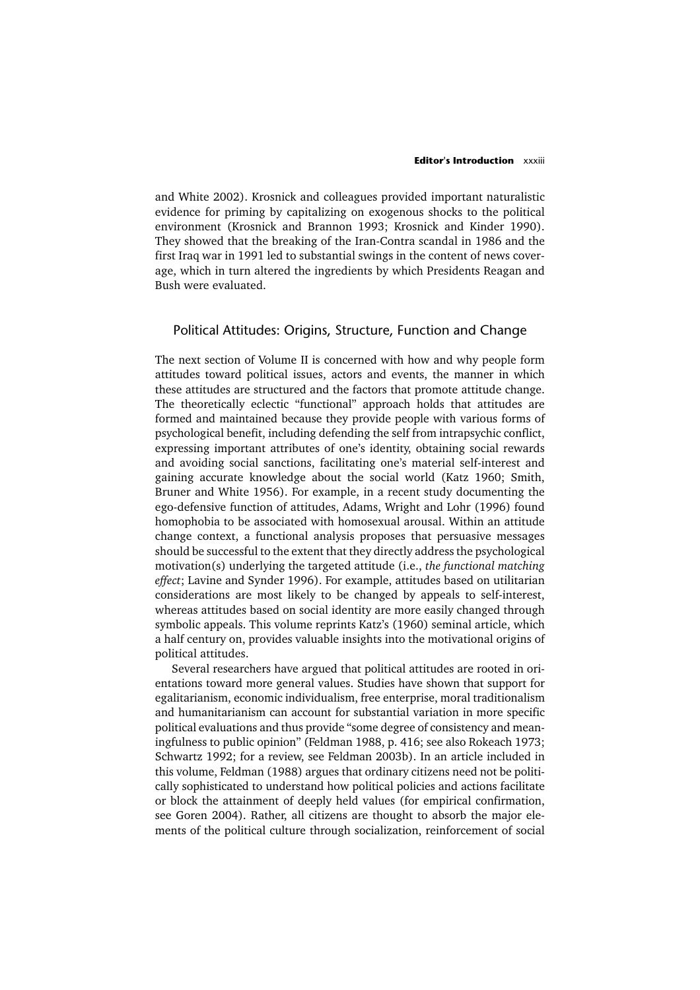#### **Editor's Introduction xxxiii**

and White 2002). Krosnick and colleagues provided important naturalistic evidence for priming by capitalizing on exogenous shocks to the political environment (Krosnick and Brannon 1993; Krosnick and Kinder 1990). They showed that the breaking of the Iran-Contra scandal in 1986 and the first Iraq war in 1991 led to substantial swings in the content of news coverage, which in turn altered the ingredients by which Presidents Reagan and Bush were evaluated.

# Political Attitudes: Origins, Structure, Function and Change

The next section of Volume II is concerned with how and why people form attitudes toward political issues, actors and events, the manner in which these attitudes are structured and the factors that promote attitude change. The theoretically eclectic "functional" approach holds that attitudes are formed and maintained because they provide people with various forms of psychological benefit, including defending the self from intrapsychic conflict, expressing important attributes of one's identity, obtaining social rewards and avoiding social sanctions, facilitating one's material self-interest and gaining accurate knowledge about the social world (Katz 1960; Smith, Bruner and White 1956). For example, in a recent study documenting the ego-defensive function of attitudes, Adams, Wright and Lohr (1996) found homophobia to be associated with homosexual arousal. Within an attitude change context, a functional analysis proposes that persuasive messages should be successful to the extent that they directly address the psychological motivation(s) underlying the targeted attitude (i.e., *the functional matching effect*; Lavine and Synder 1996). For example, attitudes based on utilitarian considerations are most likely to be changed by appeals to self-interest, whereas attitudes based on social identity are more easily changed through symbolic appeals. This volume reprints Katz's (1960) seminal article, which a half century on, provides valuable insights into the motivational origins of political attitudes.

Several researchers have argued that political attitudes are rooted in orientations toward more general values. Studies have shown that support for egalitarianism, economic individualism, free enterprise, moral traditionalism and humanitarianism can account for substantial variation in more specific political evaluations and thus provide "some degree of consistency and meaningfulness to public opinion" (Feldman 1988, p. 416; see also Rokeach 1973; Schwartz 1992; for a review, see Feldman 2003b). In an article included in this volume, Feldman (1988) argues that ordinary citizens need not be politically sophisticated to understand how political policies and actions facilitate or block the attainment of deeply held values (for empirical confirmation, see Goren 2004). Rather, all citizens are thought to absorb the major elements of the political culture through socialization, reinforcement of social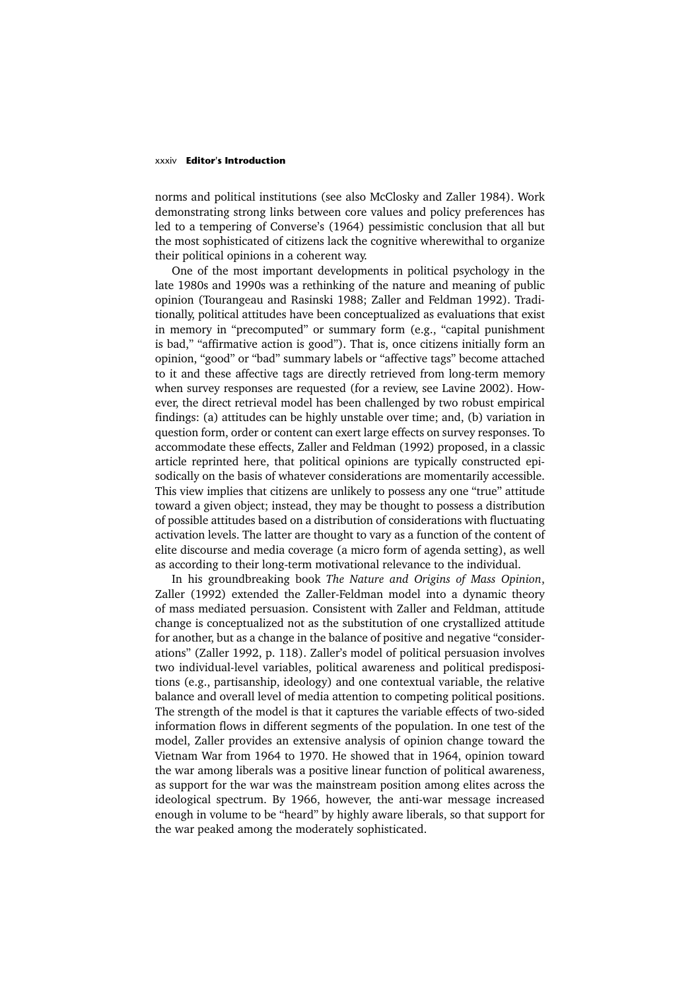### xxxiv **Editor's Introduction**

norms and political institutions (see also McClosky and Zaller 1984). Work demonstrating strong links between core values and policy preferences has led to a tempering of Converse's (1964) pessimistic conclusion that all but the most sophisticated of citizens lack the cognitive wherewithal to organize their political opinions in a coherent way.

One of the most important developments in political psychology in the late 1980s and 1990s was a rethinking of the nature and meaning of public opinion (Tourangeau and Rasinski 1988; Zaller and Feldman 1992). Traditionally, political attitudes have been conceptualized as evaluations that exist in memory in "precomputed" or summary form (e.g., "capital punishment is bad," "affirmative action is good"). That is, once citizens initially form an opinion, "good" or "bad" summary labels or "affective tags" become attached to it and these affective tags are directly retrieved from long-term memory when survey responses are requested (for a review, see Lavine 2002). However, the direct retrieval model has been challenged by two robust empirical findings: (a) attitudes can be highly unstable over time; and, (b) variation in question form, order or content can exert large effects on survey responses. To accommodate these effects, Zaller and Feldman (1992) proposed, in a classic article reprinted here, that political opinions are typically constructed episodically on the basis of whatever considerations are momentarily accessible. This view implies that citizens are unlikely to possess any one "true" attitude toward a given object; instead, they may be thought to possess a distribution of possible attitudes based on a distribution of considerations with fluctuating activation levels. The latter are thought to vary as a function of the content of elite discourse and media coverage (a micro form of agenda setting), as well as according to their long-term motivational relevance to the individual.

In his groundbreaking book *The Nature and Origins of Mass Opinion*, Zaller (1992) extended the Zaller-Feldman model into a dynamic theory of mass mediated persuasion. Consistent with Zaller and Feldman, attitude change is conceptualized not as the substitution of one crystallized attitude for another, but as a change in the balance of positive and negative "considerations" (Zaller 1992, p. 118). Zaller's model of political persuasion involves two individual-level variables, political awareness and political predispositions (e.g., partisanship, ideology) and one contextual variable, the relative balance and overall level of media attention to competing political positions. The strength of the model is that it captures the variable effects of two-sided information flows in different segments of the population. In one test of the model, Zaller provides an extensive analysis of opinion change toward the Vietnam War from 1964 to 1970. He showed that in 1964, opinion toward the war among liberals was a positive linear function of political awareness, as support for the war was the mainstream position among elites across the ideological spectrum. By 1966, however, the anti-war message increased enough in volume to be "heard" by highly aware liberals, so that support for the war peaked among the moderately sophisticated.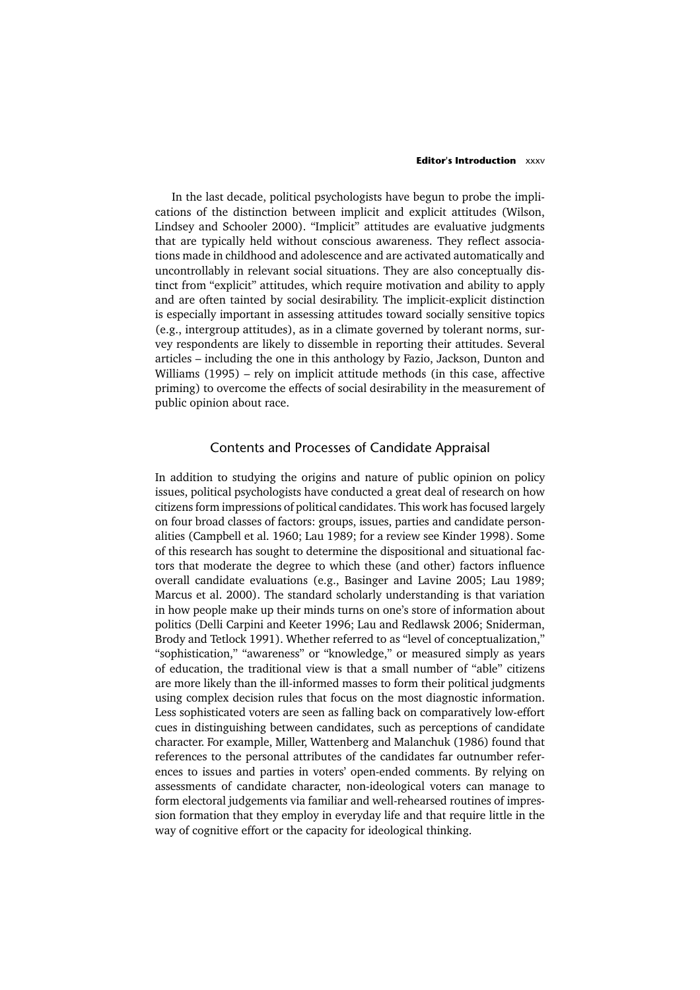### **Editor's Introduction** xxxv

In the last decade, political psychologists have begun to probe the implications of the distinction between implicit and explicit attitudes (Wilson, Lindsey and Schooler 2000). "Implicit" attitudes are evaluative judgments that are typically held without conscious awareness. They reflect associations made in childhood and adolescence and are activated automatically and uncontrollably in relevant social situations. They are also conceptually distinct from "explicit" attitudes, which require motivation and ability to apply and are often tainted by social desirability. The implicit-explicit distinction is especially important in assessing attitudes toward socially sensitive topics (e.g., intergroup attitudes), as in a climate governed by tolerant norms, survey respondents are likely to dissemble in reporting their attitudes. Several articles – including the one in this anthology by Fazio, Jackson, Dunton and Williams (1995) – rely on implicit attitude methods (in this case, affective priming) to overcome the effects of social desirability in the measurement of public opinion about race.

# Contents and Processes of Candidate Appraisal

In addition to studying the origins and nature of public opinion on policy issues, political psychologists have conducted a great deal of research on how citizens form impressions of political candidates. This work has focused largely on four broad classes of factors: groups, issues, parties and candidate personalities (Campbell et al. 1960; Lau 1989; for a review see Kinder 1998). Some of this research has sought to determine the dispositional and situational factors that moderate the degree to which these (and other) factors influence overall candidate evaluations (e.g., Basinger and Lavine 2005; Lau 1989; Marcus et al. 2000). The standard scholarly understanding is that variation in how people make up their minds turns on one's store of information about politics (Delli Carpini and Keeter 1996; Lau and Redlawsk 2006; Sniderman, Brody and Tetlock 1991). Whether referred to as "level of conceptualization," "sophistication," "awareness" or "knowledge," or measured simply as years of education, the traditional view is that a small number of "able" citizens are more likely than the ill-informed masses to form their political judgments using complex decision rules that focus on the most diagnostic information. Less sophisticated voters are seen as falling back on comparatively low-effort cues in distinguishing between candidates, such as perceptions of candidate character. For example, Miller, Wattenberg and Malanchuk (1986) found that references to the personal attributes of the candidates far outnumber references to issues and parties in voters' open-ended comments. By relying on assessments of candidate character, non-ideological voters can manage to form electoral judgements via familiar and well-rehearsed routines of impression formation that they employ in everyday life and that require little in the way of cognitive effort or the capacity for ideological thinking.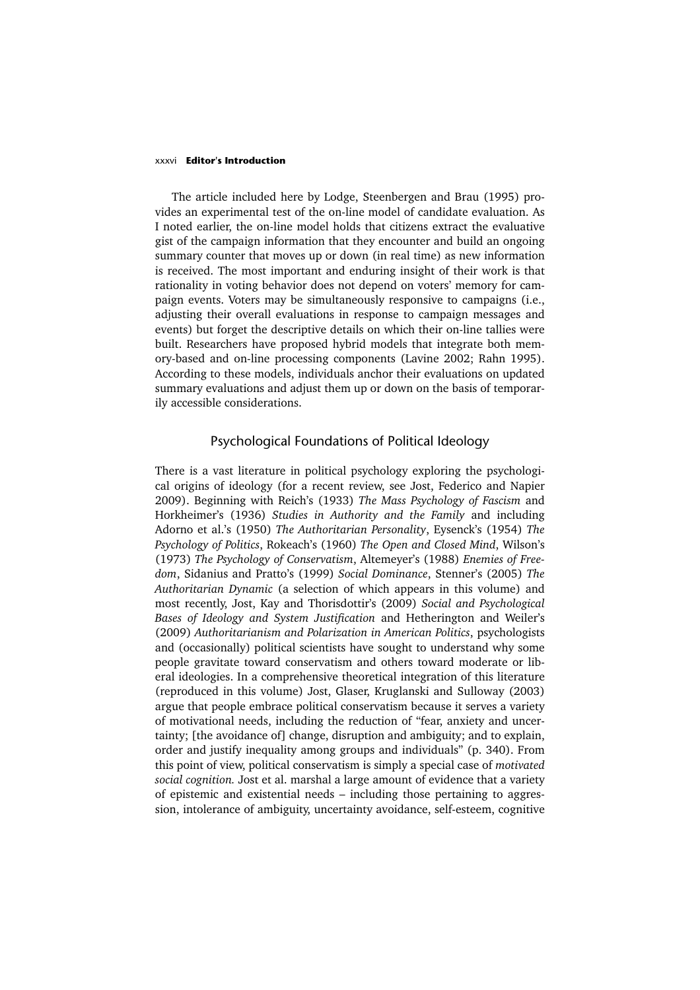### xxxvi **Editor's Introduction**

The article included here by Lodge, Steenbergen and Brau (1995) provides an experimental test of the on-line model of candidate evaluation. As I noted earlier, the on-line model holds that citizens extract the evaluative gist of the campaign information that they encounter and build an ongoing summary counter that moves up or down (in real time) as new information is received. The most important and enduring insight of their work is that rationality in voting behavior does not depend on voters' memory for campaign events. Voters may be simultaneously responsive to campaigns (i.e., adjusting their overall evaluations in response to campaign messages and events) but forget the descriptive details on which their on-line tallies were built. Researchers have proposed hybrid models that integrate both memory-based and on-line processing components (Lavine 2002; Rahn 1995). According to these models, individuals anchor their evaluations on updated summary evaluations and adjust them up or down on the basis of temporarily accessible considerations.

### Psychological Foundations of Political Ideology

There is a vast literature in political psychology exploring the psychological origins of ideology (for a recent review, see Jost, Federico and Napier 2009). Beginning with Reich's (1933) *The Mass Psychology of Fascism* and Horkheimer's (1936) *Studies in Authority and the Family* and including Adorno et al.'s (1950) *The Authoritarian Personality*, Eysenck's (1954) *The Psychology of Politics*, Rokeach's (1960) *The Open and Closed Mind*, Wilson's (1973) *The Psychology of Conservatism*, Altemeyer's (1988) *Enemies of Freedom*, Sidanius and Pratto's (1999) *Social Dominance*, Stenner's (2005) *The Authoritarian Dynamic* (a selection of which appears in this volume) and most recently, Jost, Kay and Thorisdottir's (2009) *Social and Psychological Bases of Ideology and System Justification* and Hetherington and Weiler's (2009) *Authoritarianism and Polarization in American Politics*, psychologists and (occasionally) political scientists have sought to understand why some people gravitate toward conservatism and others toward moderate or liberal ideologies. In a comprehensive theoretical integration of this literature (reproduced in this volume) Jost, Glaser, Kruglanski and Sulloway (2003) argue that people embrace political conservatism because it serves a variety of motivational needs, including the reduction of "fear, anxiety and uncertainty; [the avoidance of] change, disruption and ambiguity; and to explain, order and justify inequality among groups and individuals" (p. 340). From this point of view, political conservatism is simply a special case of *motivated social cognition.* Jost et al. marshal a large amount of evidence that a variety of epistemic and existential needs – including those pertaining to aggression, intolerance of ambiguity, uncertainty avoidance, self-esteem, cognitive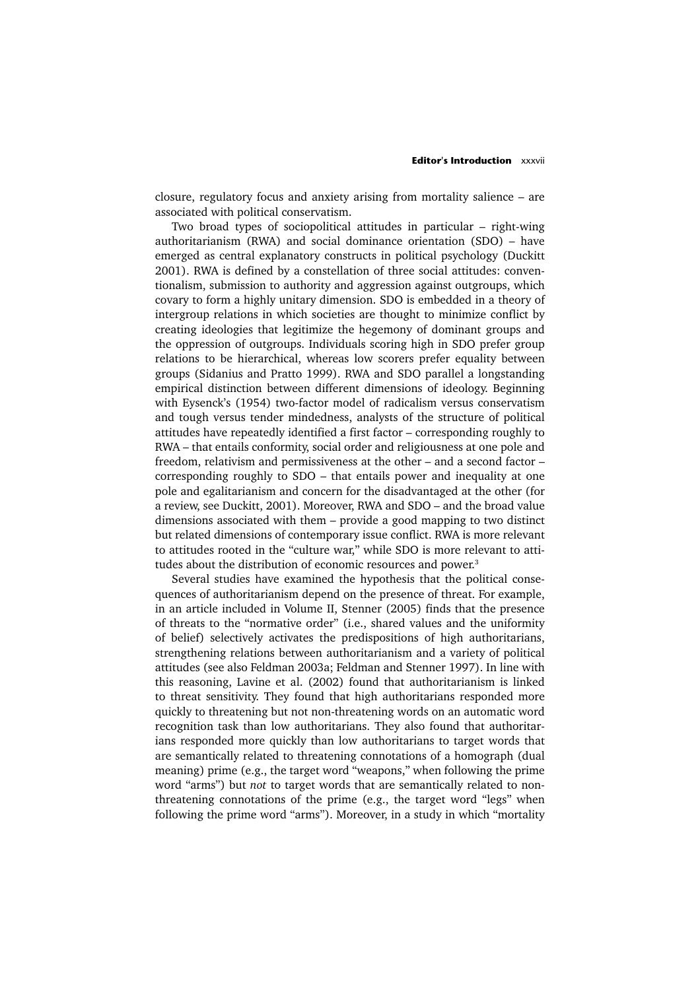closure, regulatory focus and anxiety arising from mortality salience – are associated with political conservatism.

Two broad types of sociopolitical attitudes in particular – right-wing authoritarianism (RWA) and social dominance orientation (SDO) – have emerged as central explanatory constructs in political psychology (Duckitt 2001). RWA is defined by a constellation of three social attitudes: conventionalism, submission to authority and aggression against outgroups, which covary to form a highly unitary dimension. SDO is embedded in a theory of intergroup relations in which societies are thought to minimize conflict by creating ideologies that legitimize the hegemony of dominant groups and the oppression of outgroups. Individuals scoring high in SDO prefer group relations to be hierarchical, whereas low scorers prefer equality between groups (Sidanius and Pratto 1999). RWA and SDO parallel a longstanding empirical distinction between different dimensions of ideology. Beginning with Eysenck's (1954) two-factor model of radicalism versus conservatism and tough versus tender mindedness, analysts of the structure of political attitudes have repeatedly identified a first factor – corresponding roughly to RWA – that entails conformity, social order and religiousness at one pole and freedom, relativism and permissiveness at the other – and a second factor – corresponding roughly to SDO – that entails power and inequality at one pole and egalitarianism and concern for the disadvantaged at the other (for a review, see Duckitt, 2001). Moreover, RWA and SDO – and the broad value dimensions associated with them – provide a good mapping to two distinct but related dimensions of contemporary issue conflict. RWA is more relevant to attitudes rooted in the "culture war," while SDO is more relevant to attitudes about the distribution of economic resources and power.<sup>3</sup>

Several studies have examined the hypothesis that the political consequences of authoritarianism depend on the presence of threat. For example, in an article included in Volume II, Stenner (2005) finds that the presence of threats to the "normative order" (i.e., shared values and the uniformity of belief) selectively activates the predispositions of high authoritarians, strengthening relations between authoritarianism and a variety of political attitudes (see also Feldman 2003a; Feldman and Stenner 1997). In line with this reasoning, Lavine et al. (2002) found that authoritarianism is linked to threat sensitivity. They found that high authoritarians responded more quickly to threatening but not non-threatening words on an automatic word recognition task than low authoritarians. They also found that authoritarians responded more quickly than low authoritarians to target words that are semantically related to threatening connotations of a homograph (dual meaning) prime (e.g., the target word "weapons," when following the prime word "arms") but *not* to target words that are semantically related to nonthreatening connotations of the prime (e.g., the target word "legs" when following the prime word "arms"). Moreover, in a study in which "mortality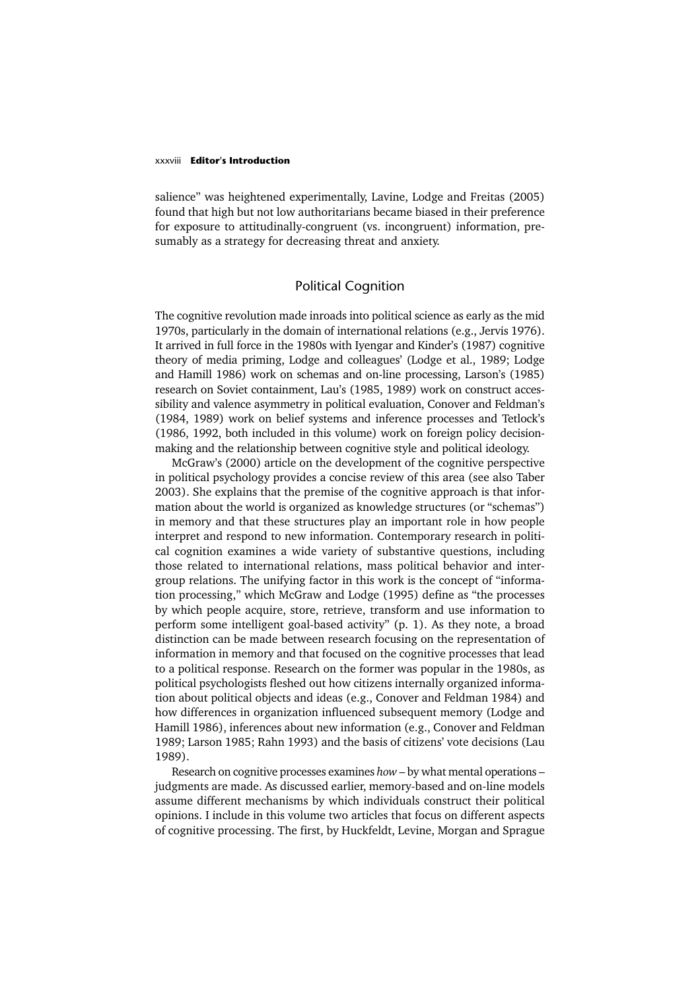### xxxviii **Editor's Introduction**

salience" was heightened experimentally, Lavine, Lodge and Freitas (2005) found that high but not low authoritarians became biased in their preference for exposure to attitudinally-congruent (vs. incongruent) information, presumably as a strategy for decreasing threat and anxiety.

# Political Cognition

The cognitive revolution made inroads into political science as early as the mid 1970s, particularly in the domain of international relations (e.g., Jervis 1976). It arrived in full force in the 1980s with Iyengar and Kinder's (1987) cognitive theory of media priming, Lodge and colleagues' (Lodge et al., 1989; Lodge and Hamill 1986) work on schemas and on-line processing, Larson's (1985) research on Soviet containment, Lau's (1985, 1989) work on construct accessibility and valence asymmetry in political evaluation, Conover and Feldman's (1984, 1989) work on belief systems and inference processes and Tetlock's (1986, 1992, both included in this volume) work on foreign policy decisionmaking and the relationship between cognitive style and political ideology.

McGraw's (2000) article on the development of the cognitive perspective in political psychology provides a concise review of this area (see also Taber 2003). She explains that the premise of the cognitive approach is that information about the world is organized as knowledge structures (or "schemas") in memory and that these structures play an important role in how people interpret and respond to new information. Contemporary research in political cognition examines a wide variety of substantive questions, including those related to international relations, mass political behavior and intergroup relations. The unifying factor in this work is the concept of "information processing," which McGraw and Lodge (1995) define as "the processes by which people acquire, store, retrieve, transform and use information to perform some intelligent goal-based activity" (p. 1). As they note, a broad distinction can be made between research focusing on the representation of information in memory and that focused on the cognitive processes that lead to a political response. Research on the former was popular in the 1980s, as political psychologists fleshed out how citizens internally organized information about political objects and ideas (e.g., Conover and Feldman 1984) and how differences in organization influenced subsequent memory (Lodge and Hamill 1986), inferences about new information (e.g., Conover and Feldman 1989; Larson 1985; Rahn 1993) and the basis of citizens' vote decisions (Lau 1989).

Research on cognitive processes examines *how* – by what mental operations – judgments are made. As discussed earlier, memory-based and on-line models assume different mechanisms by which individuals construct their political opinions. I include in this volume two articles that focus on different aspects of cognitive processing. The first, by Huckfeldt, Levine, Morgan and Sprague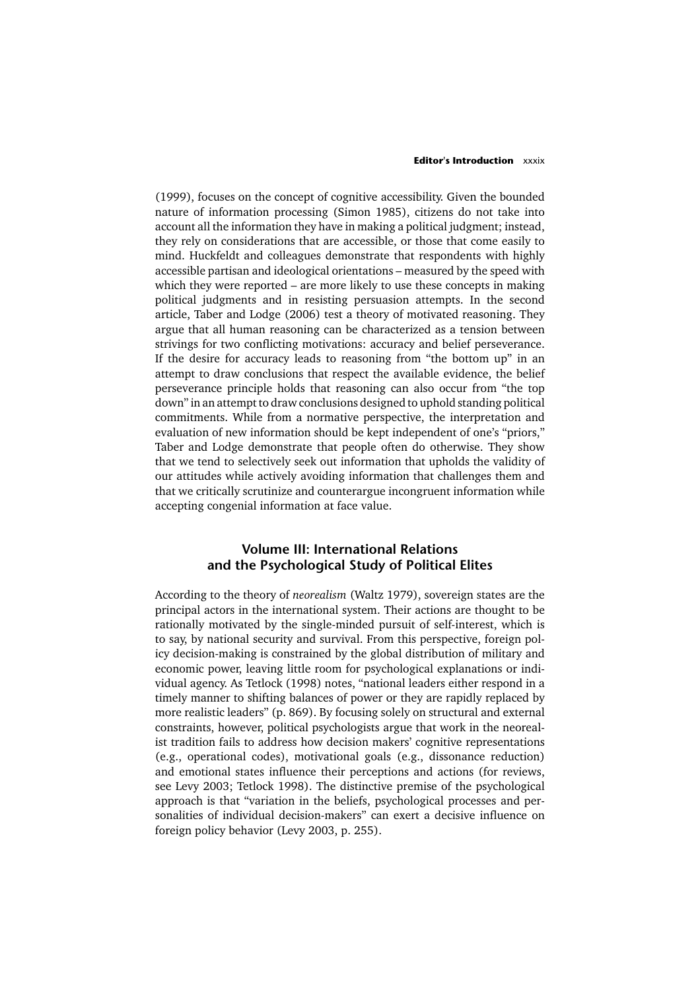#### **Editor's Introduction** xxxix

(1999), focuses on the concept of cognitive accessibility. Given the bounded nature of information processing (Simon 1985), citizens do not take into account all the information they have in making a political judgment; instead, they rely on considerations that are accessible, or those that come easily to mind. Huckfeldt and colleagues demonstrate that respondents with highly accessible partisan and ideological orientations – measured by the speed with which they were reported – are more likely to use these concepts in making political judgments and in resisting persuasion attempts. In the second article, Taber and Lodge (2006) test a theory of motivated reasoning. They argue that all human reasoning can be characterized as a tension between strivings for two conflicting motivations: accuracy and belief perseverance. If the desire for accuracy leads to reasoning from "the bottom up" in an attempt to draw conclusions that respect the available evidence, the belief perseverance principle holds that reasoning can also occur from "the top down" in an attempt to draw conclusions designed to uphold standing political commitments. While from a normative perspective, the interpretation and evaluation of new information should be kept independent of one's "priors," Taber and Lodge demonstrate that people often do otherwise. They show that we tend to selectively seek out information that upholds the validity of our attitudes while actively avoiding information that challenges them and that we critically scrutinize and counterargue incongruent information while accepting congenial information at face value.

# **Volume III: International Relations and the Psychological Study of Political Elites**

According to the theory of *neorealism* (Waltz 1979), sovereign states are the principal actors in the international system. Their actions are thought to be rationally motivated by the single-minded pursuit of self-interest, which is to say, by national security and survival. From this perspective, foreign policy decision-making is constrained by the global distribution of military and economic power, leaving little room for psychological explanations or individual agency. As Tetlock (1998) notes, "national leaders either respond in a timely manner to shifting balances of power or they are rapidly replaced by more realistic leaders" (p. 869). By focusing solely on structural and external constraints, however, political psychologists argue that work in the neorealist tradition fails to address how decision makers' cognitive representations (e.g., operational codes), motivational goals (e.g., dissonance reduction) and emotional states influence their perceptions and actions (for reviews, see Levy 2003; Tetlock 1998). The distinctive premise of the psychological approach is that "variation in the beliefs, psychological processes and personalities of individual decision-makers" can exert a decisive influence on foreign policy behavior (Levy 2003, p. 255).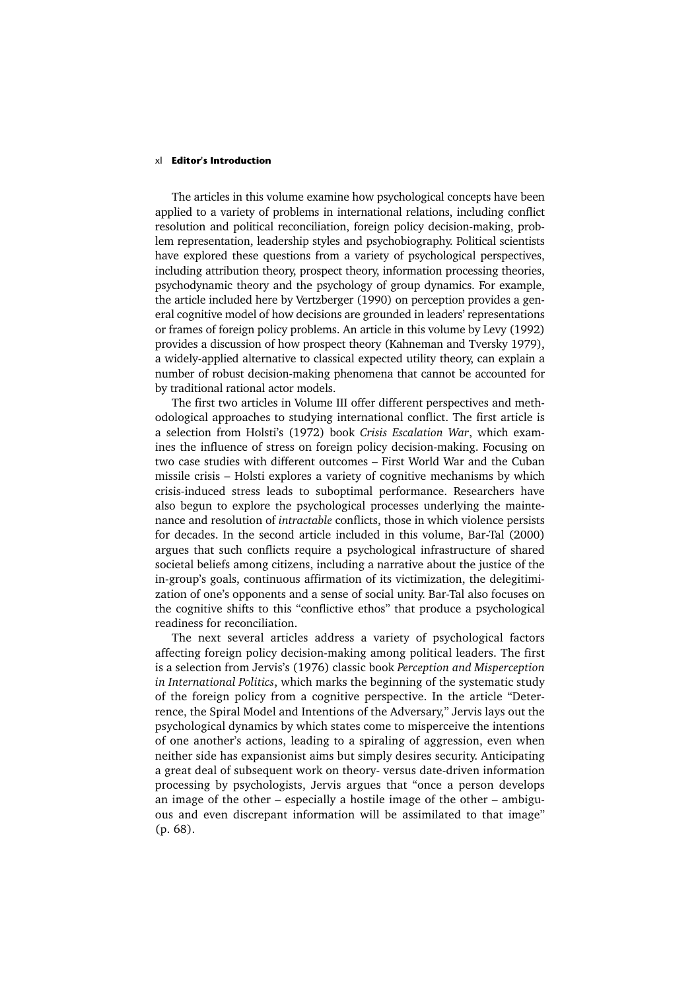### xl **Editor's Introduction**

The articles in this volume examine how psychological concepts have been applied to a variety of problems in international relations, including conflict resolution and political reconciliation, foreign policy decision-making, problem representation, leadership styles and psychobiography. Political scientists have explored these questions from a variety of psychological perspectives, including attribution theory, prospect theory, information processing theories, psychodynamic theory and the psychology of group dynamics. For example, the article included here by Vertzberger (1990) on perception provides a general cognitive model of how decisions are grounded in leaders' representations or frames of foreign policy problems. An article in this volume by Levy (1992) provides a discussion of how prospect theory (Kahneman and Tversky 1979), a widely-applied alternative to classical expected utility theory, can explain a number of robust decision-making phenomena that cannot be accounted for by traditional rational actor models.

The first two articles in Volume III offer different perspectives and methodological approaches to studying international conflict. The first article is a selection from Holsti's (1972) book *Crisis Escalation War*, which examines the influence of stress on foreign policy decision-making. Focusing on two case studies with different outcomes – First World War and the Cuban missile crisis – Holsti explores a variety of cognitive mechanisms by which crisis-induced stress leads to suboptimal performance. Researchers have also begun to explore the psychological processes underlying the maintenance and resolution of *intractable* conflicts, those in which violence persists for decades. In the second article included in this volume, Bar-Tal (2000) argues that such conflicts require a psychological infrastructure of shared societal beliefs among citizens, including a narrative about the justice of the in-group's goals, continuous affirmation of its victimization, the delegitimization of one's opponents and a sense of social unity. Bar-Tal also focuses on the cognitive shifts to this "conflictive ethos" that produce a psychological readiness for reconciliation.

The next several articles address a variety of psychological factors affecting foreign policy decision-making among political leaders. The first is a selection from Jervis's (1976) classic book *Perception and Misperception in International Politics*, which marks the beginning of the systematic study of the foreign policy from a cognitive perspective. In the article "Deterrence, the Spiral Model and Intentions of the Adversary," Jervis lays out the psychological dynamics by which states come to misperceive the intentions of one another's actions, leading to a spiraling of aggression, even when neither side has expansionist aims but simply desires security. Anticipating a great deal of subsequent work on theory- versus date-driven information processing by psychologists, Jervis argues that "once a person develops an image of the other – especially a hostile image of the other – ambiguous and even discrepant information will be assimilated to that image" (p. 68).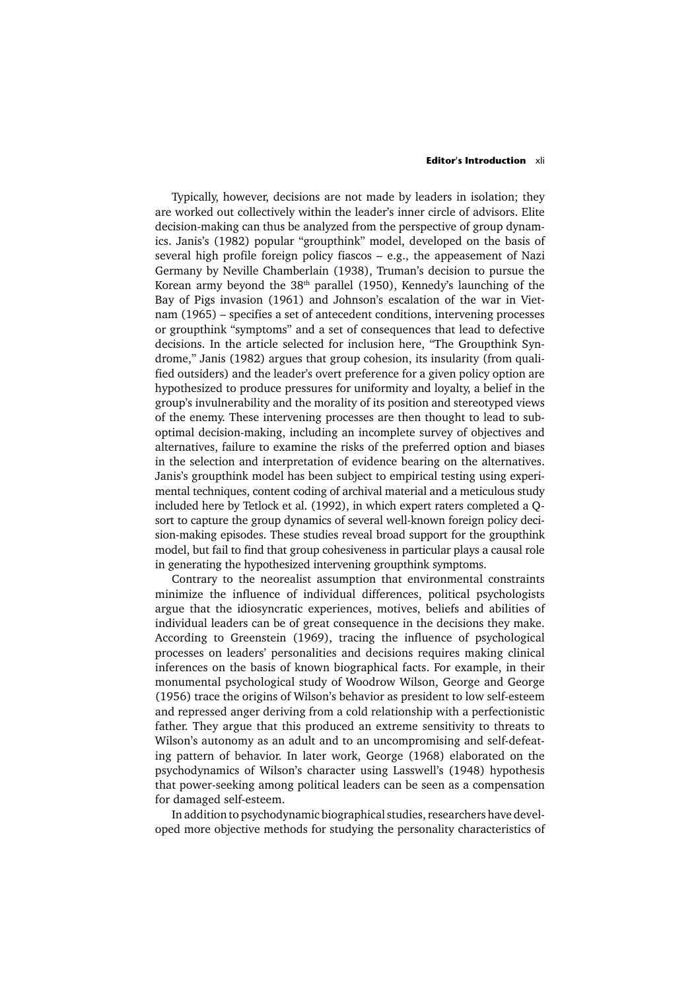### **Editor's Introduction** xli

Typically, however, decisions are not made by leaders in isolation; they are worked out collectively within the leader's inner circle of advisors. Elite decision-making can thus be analyzed from the perspective of group dynamics. Janis's (1982) popular "groupthink" model, developed on the basis of several high profile foreign policy fiascos – e.g., the appeasement of Nazi Germany by Neville Chamberlain (1938), Truman's decision to pursue the Korean army beyond the 38th parallel (1950), Kennedy's launching of the Bay of Pigs invasion (1961) and Johnson's escalation of the war in Vietnam (1965) – specifies a set of antecedent conditions, intervening processes or groupthink "symptoms" and a set of consequences that lead to defective decisions. In the article selected for inclusion here, "The Groupthink Syndrome," Janis (1982) argues that group cohesion, its insularity (from qualified outsiders) and the leader's overt preference for a given policy option are hypothesized to produce pressures for uniformity and loyalty, a belief in the group's invulnerability and the morality of its position and stereotyped views of the enemy. These intervening processes are then thought to lead to suboptimal decision-making, including an incomplete survey of objectives and alternatives, failure to examine the risks of the preferred option and biases in the selection and interpretation of evidence bearing on the alternatives. Janis's groupthink model has been subject to empirical testing using experimental techniques, content coding of archival material and a meticulous study included here by Tetlock et al. (1992), in which expert raters completed a Qsort to capture the group dynamics of several well-known foreign policy decision-making episodes. These studies reveal broad support for the groupthink model, but fail to find that group cohesiveness in particular plays a causal role in generating the hypothesized intervening groupthink symptoms.

Contrary to the neorealist assumption that environmental constraints minimize the influence of individual differences, political psychologists argue that the idiosyncratic experiences, motives, beliefs and abilities of individual leaders can be of great consequence in the decisions they make. According to Greenstein (1969), tracing the influence of psychological processes on leaders' personalities and decisions requires making clinical inferences on the basis of known biographical facts. For example, in their monumental psychological study of Woodrow Wilson, George and George (1956) trace the origins of Wilson's behavior as president to low self-esteem and repressed anger deriving from a cold relationship with a perfectionistic father. They argue that this produced an extreme sensitivity to threats to Wilson's autonomy as an adult and to an uncompromising and self-defeating pattern of behavior. In later work, George (1968) elaborated on the psychodynamics of Wilson's character using Lasswell's (1948) hypothesis that power-seeking among political leaders can be seen as a compensation for damaged self-esteem.

In addition to psychodynamic biographical studies, researchers have developed more objective methods for studying the personality characteristics of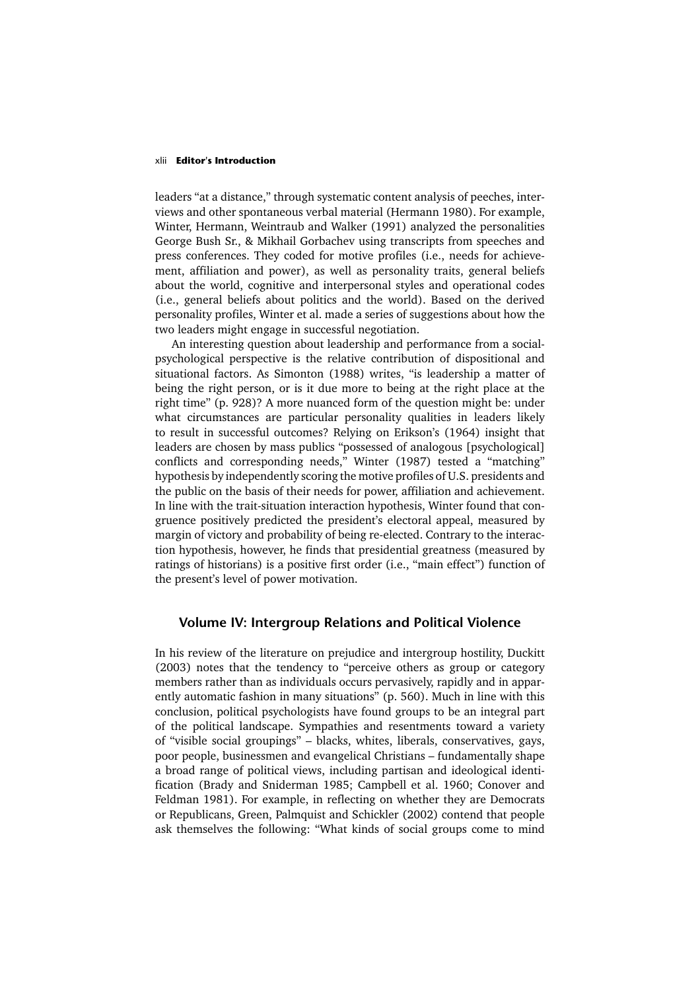### xlii **Editor's Introduction**

leaders "at a distance," through systematic content analysis of peeches, interviews and other spontaneous verbal material (Hermann 1980). For example, Winter, Hermann, Weintraub and Walker (1991) analyzed the personalities George Bush Sr., & Mikhail Gorbachev using transcripts from speeches and press conferences. They coded for motive profiles (i.e., needs for achievement, affiliation and power), as well as personality traits, general beliefs about the world, cognitive and interpersonal styles and operational codes (i.e., general beliefs about politics and the world). Based on the derived personality profiles, Winter et al. made a series of suggestions about how the two leaders might engage in successful negotiation.

An interesting question about leadership and performance from a socialpsychological perspective is the relative contribution of dispositional and situational factors. As Simonton (1988) writes, "is leadership a matter of being the right person, or is it due more to being at the right place at the right time" (p. 928)? A more nuanced form of the question might be: under what circumstances are particular personality qualities in leaders likely to result in successful outcomes? Relying on Erikson's (1964) insight that leaders are chosen by mass publics "possessed of analogous [psychological] conflicts and corresponding needs," Winter (1987) tested a "matching" hypothesis by independently scoring the motive profiles of U.S. presidents and the public on the basis of their needs for power, affiliation and achievement. In line with the trait-situation interaction hypothesis, Winter found that congruence positively predicted the president's electoral appeal, measured by margin of victory and probability of being re-elected. Contrary to the interaction hypothesis, however, he finds that presidential greatness (measured by ratings of historians) is a positive first order (i.e., "main effect") function of the present's level of power motivation.

### **Volume IV: Intergroup Relations and Political Violence**

In his review of the literature on prejudice and intergroup hostility, Duckitt (2003) notes that the tendency to "perceive others as group or category members rather than as individuals occurs pervasively, rapidly and in apparently automatic fashion in many situations" (p. 560). Much in line with this conclusion, political psychologists have found groups to be an integral part of the political landscape. Sympathies and resentments toward a variety of "visible social groupings" – blacks, whites, liberals, conservatives, gays, poor people, businessmen and evangelical Christians – fundamentally shape a broad range of political views, including partisan and ideological identification (Brady and Sniderman 1985; Campbell et al. 1960; Conover and Feldman 1981). For example, in reflecting on whether they are Democrats or Republicans, Green, Palmquist and Schickler (2002) contend that people ask themselves the following: "What kinds of social groups come to mind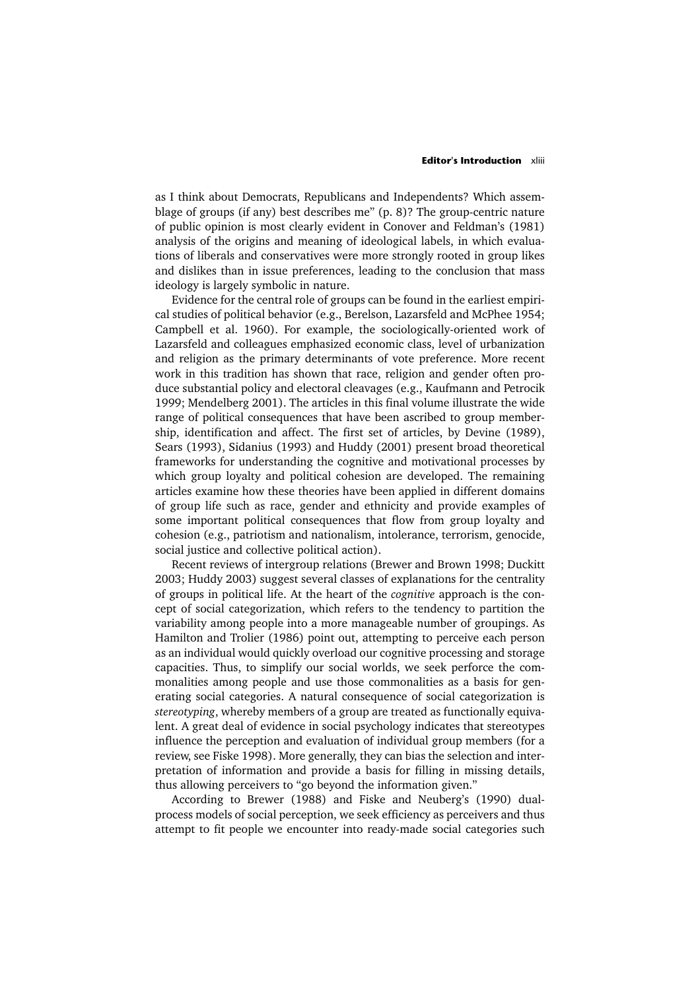### **Editor's Introduction** xliii

as I think about Democrats, Republicans and Independents? Which assemblage of groups (if any) best describes me" (p. 8)? The group-centric nature of public opinion is most clearly evident in Conover and Feldman's (1981) analysis of the origins and meaning of ideological labels, in which evaluations of liberals and conservatives were more strongly rooted in group likes and dislikes than in issue preferences, leading to the conclusion that mass ideology is largely symbolic in nature.

Evidence for the central role of groups can be found in the earliest empirical studies of political behavior (e.g., Berelson, Lazarsfeld and McPhee 1954; Campbell et al. 1960). For example, the sociologically-oriented work of Lazarsfeld and colleagues emphasized economic class, level of urbanization and religion as the primary determinants of vote preference. More recent work in this tradition has shown that race, religion and gender often produce substantial policy and electoral cleavages (e.g., Kaufmann and Petrocik 1999; Mendelberg 2001). The articles in this final volume illustrate the wide range of political consequences that have been ascribed to group membership, identification and affect. The first set of articles, by Devine (1989), Sears (1993), Sidanius (1993) and Huddy (2001) present broad theoretical frameworks for understanding the cognitive and motivational processes by which group loyalty and political cohesion are developed. The remaining articles examine how these theories have been applied in different domains of group life such as race, gender and ethnicity and provide examples of some important political consequences that flow from group loyalty and cohesion (e.g., patriotism and nationalism, intolerance, terrorism, genocide, social justice and collective political action).

Recent reviews of intergroup relations (Brewer and Brown 1998; Duckitt 2003; Huddy 2003) suggest several classes of explanations for the centrality of groups in political life. At the heart of the *cognitive* approach is the concept of social categorization, which refers to the tendency to partition the variability among people into a more manageable number of groupings. As Hamilton and Trolier (1986) point out, attempting to perceive each person as an individual would quickly overload our cognitive processing and storage capacities. Thus, to simplify our social worlds, we seek perforce the commonalities among people and use those commonalities as a basis for generating social categories. A natural consequence of social categorization is *stereotyping*, whereby members of a group are treated as functionally equivalent. A great deal of evidence in social psychology indicates that stereotypes influence the perception and evaluation of individual group members (for a review, see Fiske 1998). More generally, they can bias the selection and interpretation of information and provide a basis for filling in missing details, thus allowing perceivers to "go beyond the information given."

According to Brewer (1988) and Fiske and Neuberg's (1990) dualprocess models of social perception, we seek efficiency as perceivers and thus attempt to fit people we encounter into ready-made social categories such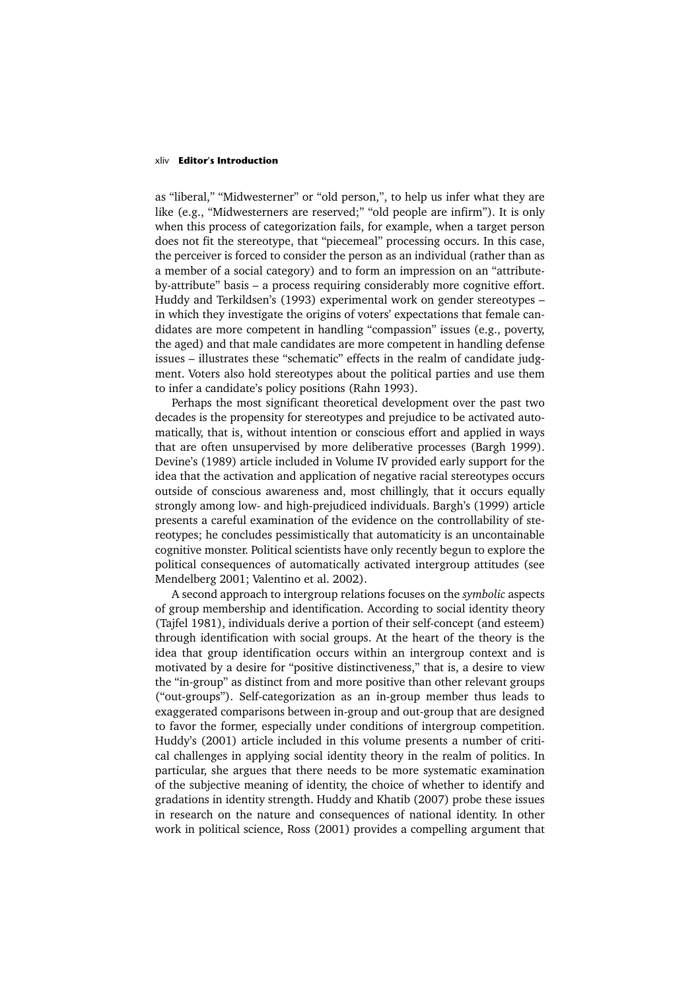### xliv **Editor's Introduction**

as "liberal," "Midwesterner" or "old person,", to help us infer what they are like (e.g., "Midwesterners are reserved;" "old people are infirm"). It is only when this process of categorization fails, for example, when a target person does not fit the stereotype, that "piecemeal" processing occurs. In this case, the perceiver is forced to consider the person as an individual (rather than as a member of a social category) and to form an impression on an "attributeby-attribute" basis – a process requiring considerably more cognitive effort. Huddy and Terkildsen's (1993) experimental work on gender stereotypes – in which they investigate the origins of voters' expectations that female candidates are more competent in handling "compassion" issues (e.g., poverty, the aged) and that male candidates are more competent in handling defense issues – illustrates these "schematic" effects in the realm of candidate judgment. Voters also hold stereotypes about the political parties and use them to infer a candidate's policy positions (Rahn 1993).

Perhaps the most significant theoretical development over the past two decades is the propensity for stereotypes and prejudice to be activated automatically, that is, without intention or conscious effort and applied in ways that are often unsupervised by more deliberative processes (Bargh 1999). Devine's (1989) article included in Volume IV provided early support for the idea that the activation and application of negative racial stereotypes occurs outside of conscious awareness and, most chillingly, that it occurs equally strongly among low- and high-prejudiced individuals. Bargh's (1999) article presents a careful examination of the evidence on the controllability of stereotypes; he concludes pessimistically that automaticity is an uncontainable cognitive monster. Political scientists have only recently begun to explore the political consequences of automatically activated intergroup attitudes (see Mendelberg 2001; Valentino et al. 2002).

A second approach to intergroup relations focuses on the *symbolic* aspects of group membership and identification. According to social identity theory (Tajfel 1981), individuals derive a portion of their self-concept (and esteem) through identification with social groups. At the heart of the theory is the idea that group identification occurs within an intergroup context and is motivated by a desire for "positive distinctiveness," that is, a desire to view the "in-group" as distinct from and more positive than other relevant groups ("out-groups"). Self-categorization as an in-group member thus leads to exaggerated comparisons between in-group and out-group that are designed to favor the former, especially under conditions of intergroup competition. Huddy's (2001) article included in this volume presents a number of critical challenges in applying social identity theory in the realm of politics. In particular, she argues that there needs to be more systematic examination of the subjective meaning of identity, the choice of whether to identify and gradations in identity strength. Huddy and Khatib (2007) probe these issues in research on the nature and consequences of national identity. In other work in political science, Ross (2001) provides a compelling argument that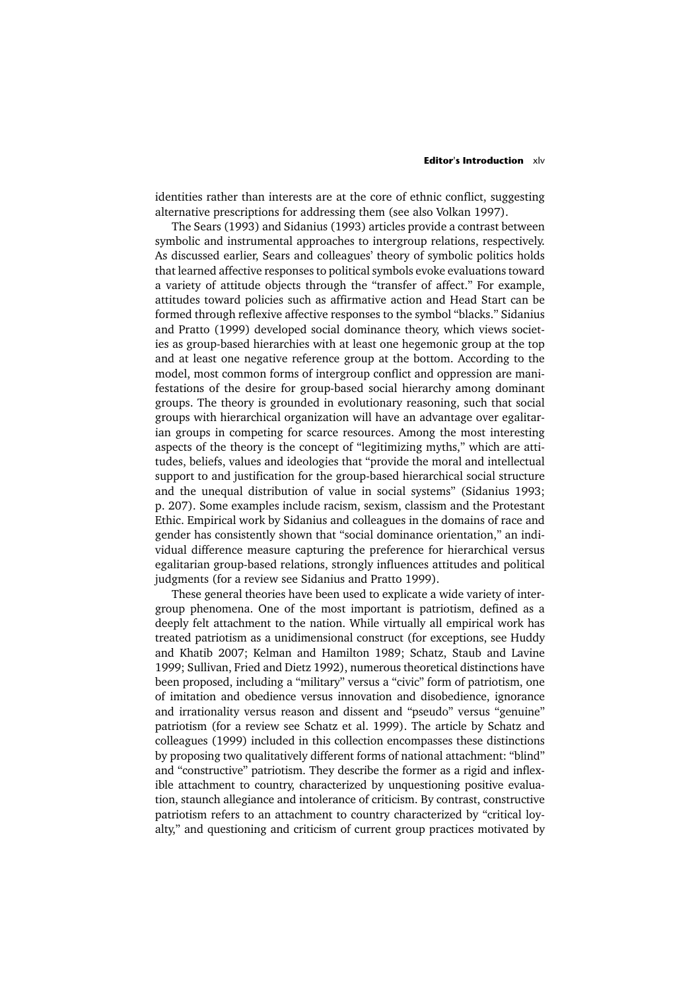### **Editor's Introduction** xlv

identities rather than interests are at the core of ethnic conflict, suggesting alternative prescriptions for addressing them (see also Volkan 1997).

The Sears (1993) and Sidanius (1993) articles provide a contrast between symbolic and instrumental approaches to intergroup relations, respectively. As discussed earlier, Sears and colleagues' theory of symbolic politics holds that learned affective responses to political symbols evoke evaluations toward a variety of attitude objects through the "transfer of affect." For example, attitudes toward policies such as affirmative action and Head Start can be formed through reflexive affective responses to the symbol "blacks." Sidanius and Pratto (1999) developed social dominance theory, which views societies as group-based hierarchies with at least one hegemonic group at the top and at least one negative reference group at the bottom. According to the model, most common forms of intergroup conflict and oppression are manifestations of the desire for group-based social hierarchy among dominant groups. The theory is grounded in evolutionary reasoning, such that social groups with hierarchical organization will have an advantage over egalitarian groups in competing for scarce resources. Among the most interesting aspects of the theory is the concept of "legitimizing myths," which are attitudes, beliefs, values and ideologies that "provide the moral and intellectual support to and justification for the group-based hierarchical social structure and the unequal distribution of value in social systems" (Sidanius 1993; p. 207). Some examples include racism, sexism, classism and the Protestant Ethic. Empirical work by Sidanius and colleagues in the domains of race and gender has consistently shown that "social dominance orientation," an individual difference measure capturing the preference for hierarchical versus egalitarian group-based relations, strongly influences attitudes and political judgments (for a review see Sidanius and Pratto 1999).

These general theories have been used to explicate a wide variety of intergroup phenomena. One of the most important is patriotism, defined as a deeply felt attachment to the nation. While virtually all empirical work has treated patriotism as a unidimensional construct (for exceptions, see Huddy and Khatib 2007; Kelman and Hamilton 1989; Schatz, Staub and Lavine 1999; Sullivan, Fried and Dietz 1992), numerous theoretical distinctions have been proposed, including a "military" versus a "civic" form of patriotism, one of imitation and obedience versus innovation and disobedience, ignorance and irrationality versus reason and dissent and "pseudo" versus "genuine" patriotism (for a review see Schatz et al. 1999). The article by Schatz and colleagues (1999) included in this collection encompasses these distinctions by proposing two qualitatively different forms of national attachment: "blind" and "constructive" patriotism. They describe the former as a rigid and inflexible attachment to country, characterized by unquestioning positive evaluation, staunch allegiance and intolerance of criticism. By contrast, constructive patriotism refers to an attachment to country characterized by "critical loyalty," and questioning and criticism of current group practices motivated by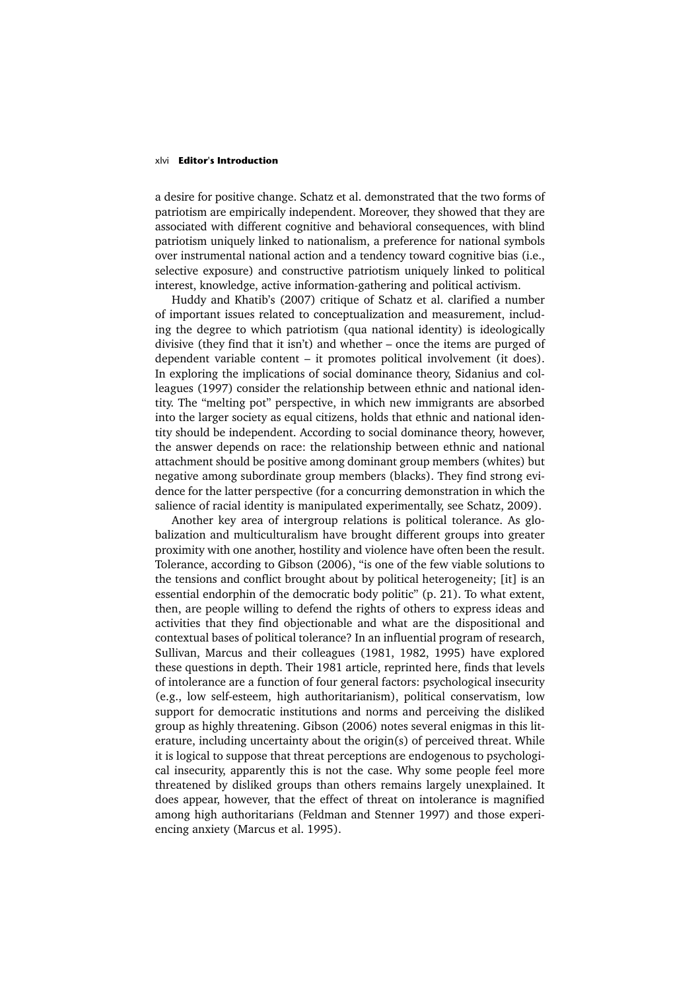#### xlvi **Editor's Introduction**

a desire for positive change. Schatz et al. demonstrated that the two forms of patriotism are empirically independent. Moreover, they showed that they are associated with different cognitive and behavioral consequences, with blind patriotism uniquely linked to nationalism, a preference for national symbols over instrumental national action and a tendency toward cognitive bias (i.e., selective exposure) and constructive patriotism uniquely linked to political interest, knowledge, active information-gathering and political activism.

Huddy and Khatib's (2007) critique of Schatz et al. clarified a number of important issues related to conceptualization and measurement, including the degree to which patriotism (qua national identity) is ideologically divisive (they find that it isn't) and whether – once the items are purged of dependent variable content – it promotes political involvement (it does). In exploring the implications of social dominance theory, Sidanius and colleagues (1997) consider the relationship between ethnic and national identity. The "melting pot" perspective, in which new immigrants are absorbed into the larger society as equal citizens, holds that ethnic and national identity should be independent. According to social dominance theory, however, the answer depends on race: the relationship between ethnic and national attachment should be positive among dominant group members (whites) but negative among subordinate group members (blacks). They find strong evidence for the latter perspective (for a concurring demonstration in which the salience of racial identity is manipulated experimentally, see Schatz, 2009).

Another key area of intergroup relations is political tolerance. As globalization and multiculturalism have brought different groups into greater proximity with one another, hostility and violence have often been the result. Tolerance, according to Gibson (2006), "is one of the few viable solutions to the tensions and conflict brought about by political heterogeneity; [it] is an essential endorphin of the democratic body politic" (p. 21). To what extent, then, are people willing to defend the rights of others to express ideas and activities that they find objectionable and what are the dispositional and contextual bases of political tolerance? In an influential program of research, Sullivan, Marcus and their colleagues (1981, 1982, 1995) have explored these questions in depth. Their 1981 article, reprinted here, finds that levels of intolerance are a function of four general factors: psychological insecurity (e.g., low self-esteem, high authoritarianism), political conservatism, low support for democratic institutions and norms and perceiving the disliked group as highly threatening. Gibson (2006) notes several enigmas in this literature, including uncertainty about the origin(s) of perceived threat. While it is logical to suppose that threat perceptions are endogenous to psychological insecurity, apparently this is not the case. Why some people feel more threatened by disliked groups than others remains largely unexplained. It does appear, however, that the effect of threat on intolerance is magnified among high authoritarians (Feldman and Stenner 1997) and those experiencing anxiety (Marcus et al. 1995).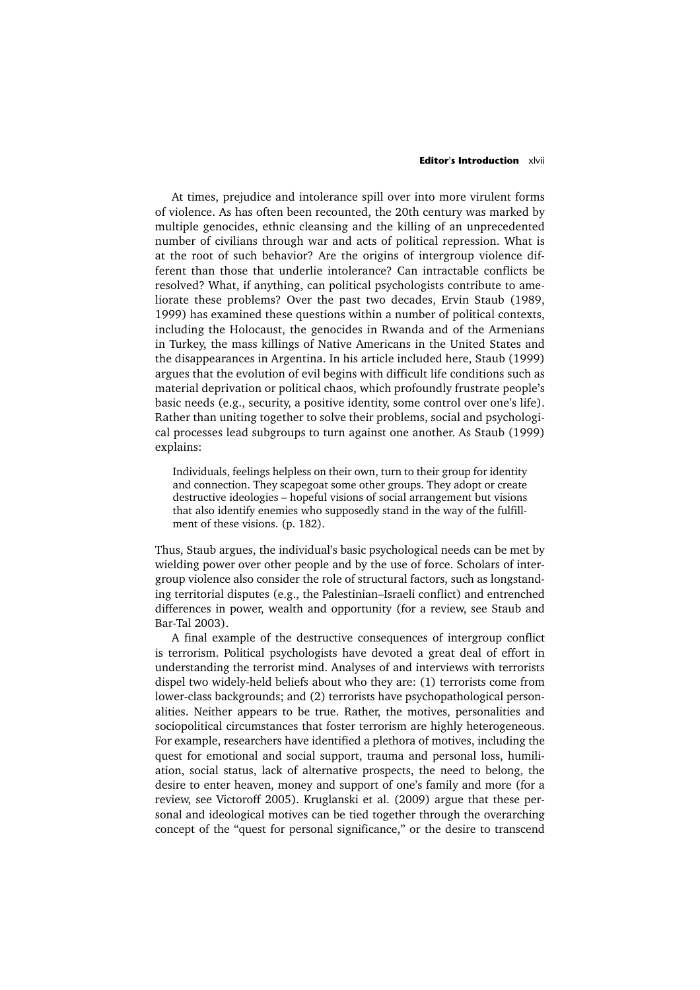### **Editor's Introduction** xlvii

At times, prejudice and intolerance spill over into more virulent forms of violence. As has often been recounted, the 20th century was marked by multiple genocides, ethnic cleansing and the killing of an unprecedented number of civilians through war and acts of political repression. What is at the root of such behavior? Are the origins of intergroup violence different than those that underlie intolerance? Can intractable conflicts be resolved? What, if anything, can political psychologists contribute to ameliorate these problems? Over the past two decades, Ervin Staub (1989, 1999) has examined these questions within a number of political contexts, including the Holocaust, the genocides in Rwanda and of the Armenians in Turkey, the mass killings of Native Americans in the United States and the disappearances in Argentina. In his article included here, Staub (1999) argues that the evolution of evil begins with difficult life conditions such as material deprivation or political chaos, which profoundly frustrate people's basic needs (e.g., security, a positive identity, some control over one's life). Rather than uniting together to solve their problems, social and psychological processes lead subgroups to turn against one another. As Staub (1999) explains:

Individuals, feelings helpless on their own, turn to their group for identity and connection. They scapegoat some other groups. They adopt or create destructive ideologies – hopeful visions of social arrangement but visions that also identify enemies who supposedly stand in the way of the fulfillment of these visions. (p. 182).

Thus, Staub argues, the individual's basic psychological needs can be met by wielding power over other people and by the use of force. Scholars of intergroup violence also consider the role of structural factors, such as longstanding territorial disputes (e.g., the Palestinian–Israeli conflict) and entrenched differences in power, wealth and opportunity (for a review, see Staub and Bar-Tal 2003).

A final example of the destructive consequences of intergroup conflict is terrorism. Political psychologists have devoted a great deal of effort in understanding the terrorist mind. Analyses of and interviews with terrorists dispel two widely-held beliefs about who they are: (1) terrorists come from lower-class backgrounds; and (2) terrorists have psychopathological personalities. Neither appears to be true. Rather, the motives, personalities and sociopolitical circumstances that foster terrorism are highly heterogeneous. For example, researchers have identified a plethora of motives, including the quest for emotional and social support, trauma and personal loss, humiliation, social status, lack of alternative prospects, the need to belong, the desire to enter heaven, money and support of one's family and more (for a review, see Victoroff 2005). Kruglanski et al. (2009) argue that these personal and ideological motives can be tied together through the overarching concept of the "quest for personal significance," or the desire to transcend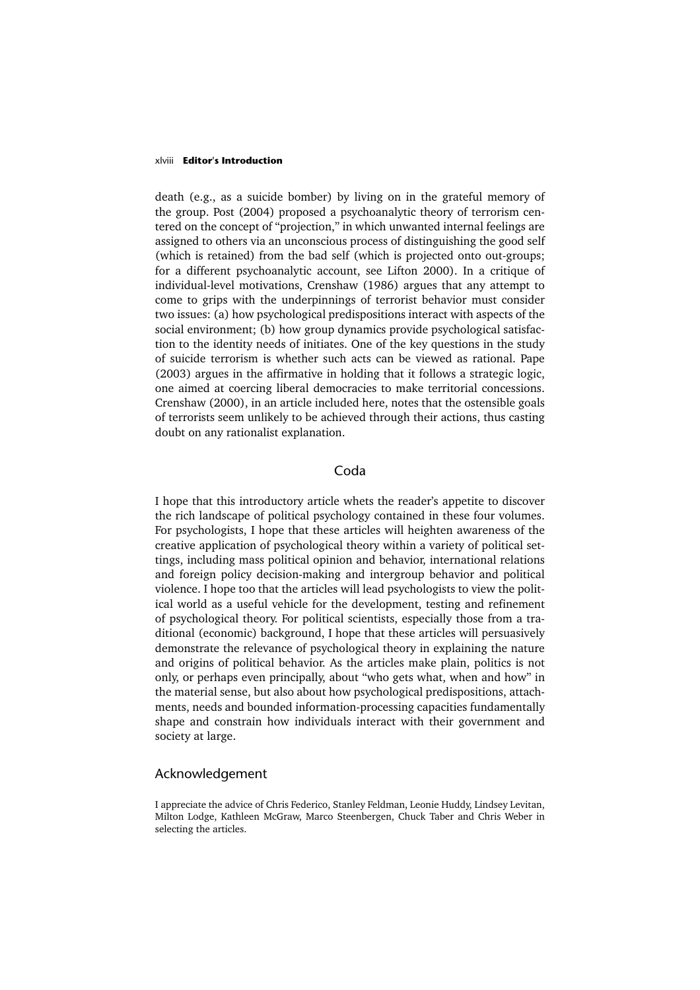### xlviii **Editor's Introduction**

death (e.g., as a suicide bomber) by living on in the grateful memory of the group. Post (2004) proposed a psychoanalytic theory of terrorism centered on the concept of "projection," in which unwanted internal feelings are assigned to others via an unconscious process of distinguishing the good self (which is retained) from the bad self (which is projected onto out-groups; for a different psychoanalytic account, see Lifton 2000). In a critique of individual-level motivations, Crenshaw (1986) argues that any attempt to come to grips with the underpinnings of terrorist behavior must consider two issues: (a) how psychological predispositions interact with aspects of the social environment; (b) how group dynamics provide psychological satisfaction to the identity needs of initiates. One of the key questions in the study of suicide terrorism is whether such acts can be viewed as rational. Pape (2003) argues in the affirmative in holding that it follows a strategic logic, one aimed at coercing liberal democracies to make territorial concessions. Crenshaw (2000), in an article included here, notes that the ostensible goals of terrorists seem unlikely to be achieved through their actions, thus casting doubt on any rationalist explanation.

# Coda

I hope that this introductory article whets the reader's appetite to discover the rich landscape of political psychology contained in these four volumes. For psychologists, I hope that these articles will heighten awareness of the creative application of psychological theory within a variety of political settings, including mass political opinion and behavior, international relations and foreign policy decision-making and intergroup behavior and political violence. I hope too that the articles will lead psychologists to view the political world as a useful vehicle for the development, testing and refinement of psychological theory. For political scientists, especially those from a traditional (economic) background, I hope that these articles will persuasively demonstrate the relevance of psychological theory in explaining the nature and origins of political behavior. As the articles make plain, politics is not only, or perhaps even principally, about "who gets what, when and how" in the material sense, but also about how psychological predispositions, attachments, needs and bounded information-processing capacities fundamentally shape and constrain how individuals interact with their government and society at large.

### Acknowledgement

I appreciate the advice of Chris Federico, Stanley Feldman, Leonie Huddy, Lindsey Levitan, Milton Lodge, Kathleen McGraw, Marco Steenbergen, Chuck Taber and Chris Weber in selecting the articles.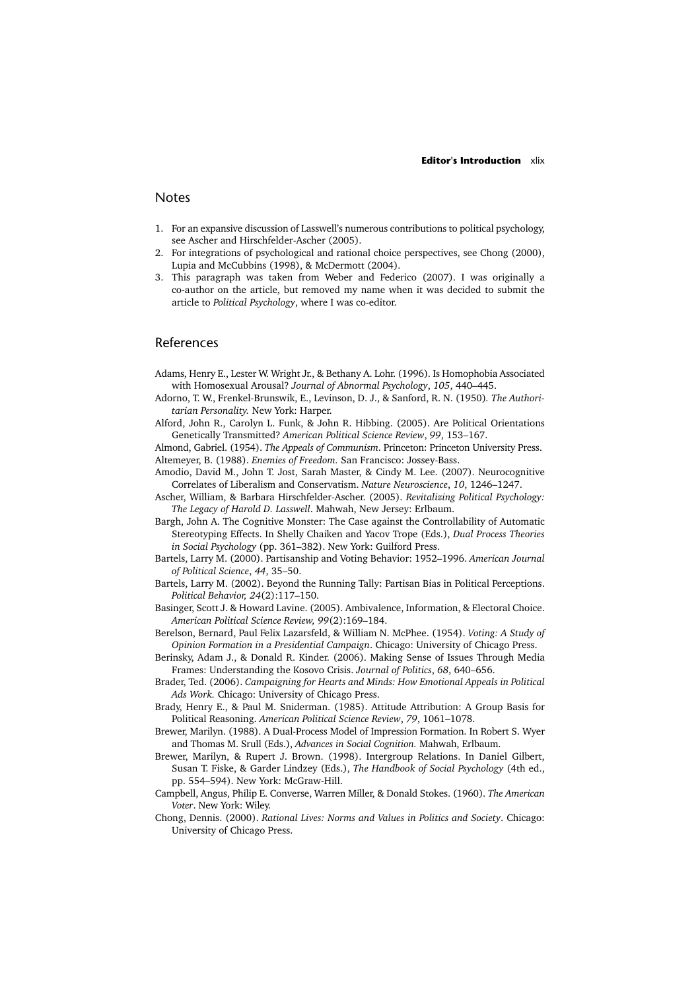# **Notes**

- 1. For an expansive discussion of Lasswell's numerous contributions to political psychology, see Ascher and Hirschfelder-Ascher (2005).
- 2. For integrations of psychological and rational choice perspectives, see Chong (2000), Lupia and McCubbins (1998), & McDermott (2004).
- 3. This paragraph was taken from Weber and Federico (2007). I was originally a co-author on the article, but removed my name when it was decided to submit the article to *Political Psychology*, where I was co-editor.

### References

- Adams, Henry E., Lester W. Wright Jr., & Bethany A. Lohr. (1996). Is Homophobia Associated with Homosexual Arousal? *Journal of Abnormal Psychology*, *105*, 440–445.
- Adorno, T. W., Frenkel-Brunswik, E., Levinson, D. J., & Sanford, R. N. (1950)*. The Authoritarian Personality.* New York: Harper.
- Alford, John R., Carolyn L. Funk, & John R. Hibbing. (2005). Are Political Orientations Genetically Transmitted? *American Political Science Review*, *99*, 153–167.

Almond, Gabriel. (1954). *The Appeals of Communism*. Princeton: Princeton University Press. Altemeyer, B. (1988). *Enemies of Freedom.* San Francisco: Jossey-Bass.

- Amodio, David M., John T. Jost, Sarah Master, & Cindy M. Lee. (2007). Neurocognitive Correlates of Liberalism and Conservatism. *Nature Neuroscience*, *10*, 1246–1247.
- Ascher, William, & Barbara Hirschfelder-Ascher. (2005). *Revitalizing Political Psychology: The Legacy of Harold D. Lasswell*. Mahwah, New Jersey: Erlbaum.
- Bargh, John A. The Cognitive Monster: The Case against the Controllability of Automatic Stereotyping Effects. In Shelly Chaiken and Yacov Trope (Eds.), *Dual Process Theories in Social Psychology* (pp. 361–382). New York: Guilford Press.
- Bartels, Larry M. (2000). Partisanship and Voting Behavior: 1952–1996. *American Journal of Political Science*, *44*, 35–50.
- Bartels, Larry M. (2002). Beyond the Running Tally: Partisan Bias in Political Perceptions. *Political Behavior, 24*(2):117–150.
- Basinger, Scott J. & Howard Lavine. (2005). Ambivalence, Information, & Electoral Choice. *American Political Science Review, 99*(2):169–184.
- Berelson, Bernard, Paul Felix Lazarsfeld, & William N. McPhee. (1954). *Voting: A Study of Opinion Formation in a Presidential Campaign*. Chicago: University of Chicago Press.
- Berinsky, Adam J., & Donald R. Kinder. (2006). Making Sense of Issues Through Media Frames: Understanding the Kosovo Crisis. *Journal of Politics*, *68*, 640–656.
- Brader, Ted. (2006). *Campaigning for Hearts and Minds: How Emotional Appeals in Political Ads Work.* Chicago: University of Chicago Press.
- Brady, Henry E., & Paul M. Sniderman. (1985). Attitude Attribution: A Group Basis for Political Reasoning. *American Political Science Review*, *79*, 1061–1078.
- Brewer, Marilyn. (1988). A Dual-Process Model of Impression Formation. In Robert S. Wyer and Thomas M. Srull (Eds.), *Advances in Social Cognition.* Mahwah, Erlbaum.
- Brewer, Marilyn, & Rupert J. Brown. (1998). Intergroup Relations. In Daniel Gilbert, Susan T. Fiske, & Garder Lindzey (Eds.), *The Handbook of Social Psychology* (4th ed., pp. 554–594). New York: McGraw-Hill.
- Campbell, Angus, Philip E. Converse, Warren Miller, & Donald Stokes. (1960). *The American Voter*. New York: Wiley.
- Chong, Dennis. (2000). *Rational Lives: Norms and Values in Politics and Society*. Chicago: University of Chicago Press.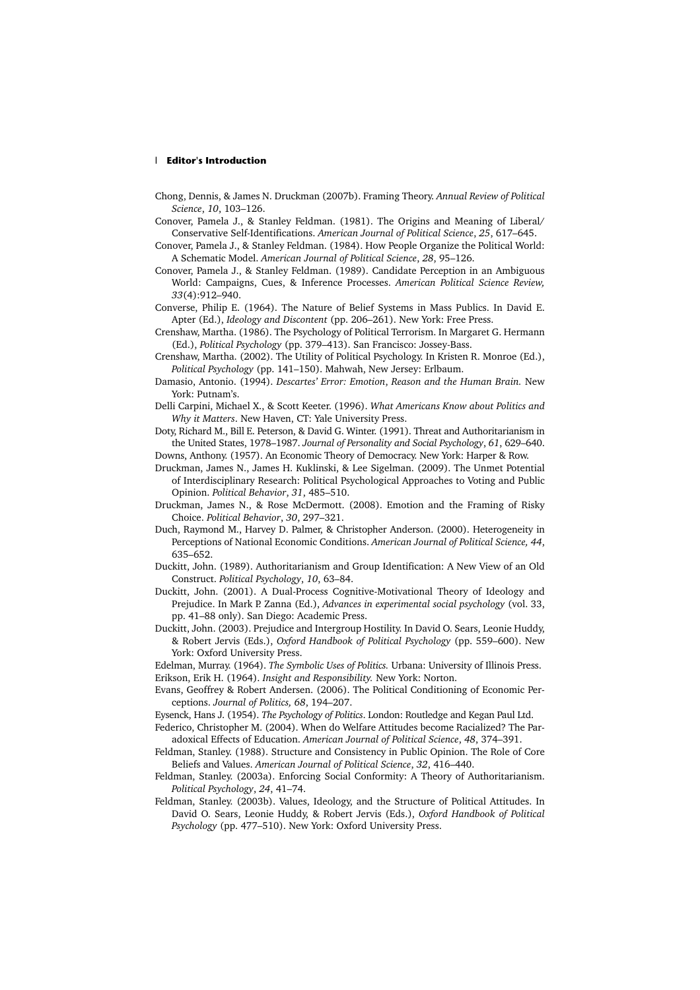### l **Editor's Introduction**

- Chong, Dennis, & James N. Druckman (2007b). Framing Theory. *Annual Review of Political Science*, *10*, 103–126.
- Conover, Pamela J., & Stanley Feldman. (1981). The Origins and Meaning of Liberal/ Conservative Self-Identifications. *American Journal of Political Science*, *25*, 617–645.
- Conover, Pamela J., & Stanley Feldman. (1984). How People Organize the Political World: A Schematic Model. *American Journal of Political Science*, *28*, 95–126.
- Conover, Pamela J., & Stanley Feldman. (1989). Candidate Perception in an Ambiguous World: Campaigns, Cues, & Inference Processes. *American Political Science Review, 33*(4):912–940.
- Converse, Philip E. (1964). The Nature of Belief Systems in Mass Publics. In David E. Apter (Ed.), *Ideology and Discontent* (pp. 206–261). New York: Free Press.
- Crenshaw, Martha. (1986). The Psychology of Political Terrorism. In Margaret G. Hermann (Ed.), *Political Psychology* (pp. 379–413). San Francisco: Jossey-Bass.
- Crenshaw, Martha. (2002). The Utility of Political Psychology. In Kristen R. Monroe (Ed.), *Political Psychology* (pp. 141–150). Mahwah, New Jersey: Erlbaum.
- Damasio, Antonio. (1994). *Descartes' Error: Emotion*, *Reason and the Human Brain.* New York: Putnam's.
- Delli Carpini, Michael X., & Scott Keeter. (1996). *What Americans Know about Politics and Why it Matters*. New Haven, CT: Yale University Press.

Doty, Richard M., Bill E. Peterson, & David G. Winter. (1991). Threat and Authoritarianism in the United States, 1978–1987. *Journal of Personality and Social Psychology*, *61*, 629–640.

- Downs, Anthony. (1957). An Economic Theory of Democracy. New York: Harper & Row.
- Druckman, James N., James H. Kuklinski, & Lee Sigelman. (2009). The Unmet Potential of Interdisciplinary Research: Political Psychological Approaches to Voting and Public Opinion. *Political Behavior*, *31*, 485–510.
- Druckman, James N., & Rose McDermott. (2008). Emotion and the Framing of Risky Choice. *Political Behavior*, *30*, 297–321.
- Duch, Raymond M., Harvey D. Palmer, & Christopher Anderson. (2000). Heterogeneity in Perceptions of National Economic Conditions. *American Journal of Political Science, 44*, 635–652.
- Duckitt, John. (1989). Authoritarianism and Group Identification: A New View of an Old Construct. *Political Psychology*, *10*, 63–84.
- Duckitt, John. (2001). A Dual-Process Cognitive-Motivational Theory of Ideology and Prejudice. In Mark P. Zanna (Ed.), *Advances in experimental social psychology* (vol. 33, pp. 41–88 only). San Diego: Academic Press.
- Duckitt, John. (2003). Prejudice and Intergroup Hostility. In David O. Sears, Leonie Huddy, & Robert Jervis (Eds.), *Oxford Handbook of Political Psychology* (pp. 559–600). New York: Oxford University Press.

Edelman, Murray. (1964). *The Symbolic Uses of Politics.* Urbana: University of Illinois Press. Erikson, Erik H. (1964). *Insight and Responsibility.* New York: Norton.

Evans, Geoffrey & Robert Andersen. (2006). The Political Conditioning of Economic Perceptions. *Journal of Politics, 68*, 194–207.

Eysenck, Hans J. (1954). *The Psychology of Politics*. London: Routledge and Kegan Paul Ltd.

Federico, Christopher M. (2004). When do Welfare Attitudes become Racialized? The Paradoxical Effects of Education. *American Journal of Political Science*, *48*, 374–391.

- Feldman, Stanley. (1988). Structure and Consistency in Public Opinion. The Role of Core Beliefs and Values. *American Journal of Political Science*, *32*, 416–440.
- Feldman, Stanley. (2003a). Enforcing Social Conformity: A Theory of Authoritarianism. *Political Psychology*, *24*, 41–74.
- Feldman, Stanley. (2003b). Values, Ideology, and the Structure of Political Attitudes. In David O. Sears, Leonie Huddy, & Robert Jervis (Eds.), *Oxford Handbook of Political Psychology* (pp. 477–510). New York: Oxford University Press.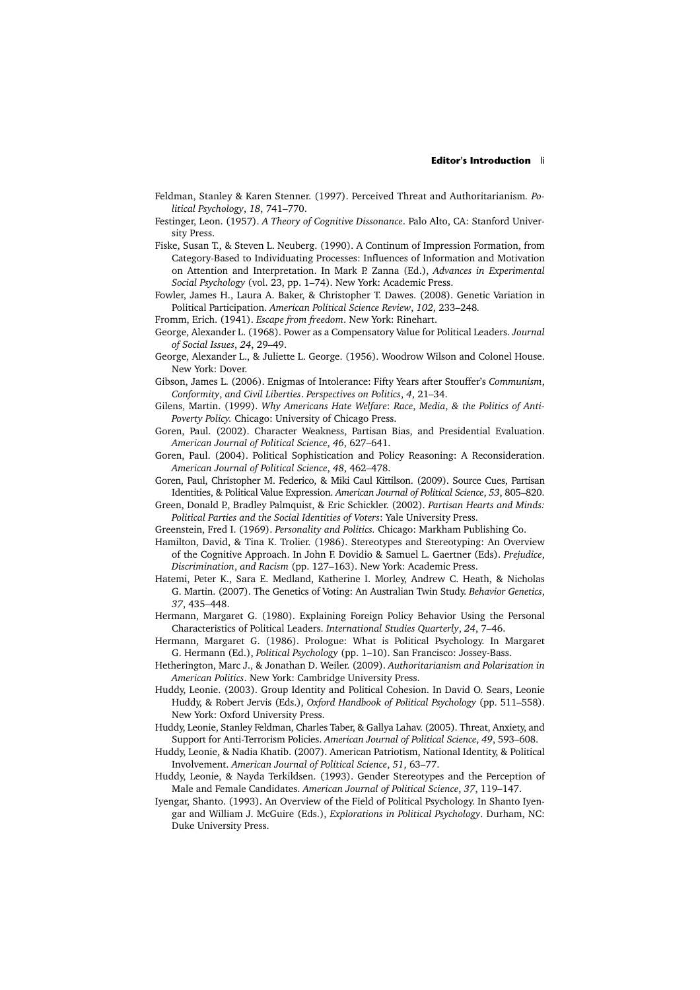- Feldman, Stanley & Karen Stenner. (1997). Perceived Threat and Authoritarianism*. Political Psychology*, *18*, 741–770.
- Festinger, Leon. (1957). *A Theory of Cognitive Dissonance*. Palo Alto, CA: Stanford University Press.
- Fiske, Susan T., & Steven L. Neuberg. (1990). A Continum of Impression Formation, from Category-Based to Individuating Processes: Influences of Information and Motivation on Attention and Interpretation. In Mark P. Zanna (Ed.), *Advances in Experimental Social Psychology* (vol. 23, pp. 1–74). New York: Academic Press.
- Fowler, James H., Laura A. Baker, & Christopher T. Dawes. (2008). Genetic Variation in Political Participation. *American Political Science Review*, *102*, 233–248*.*
- Fromm, Erich. (1941). *Escape from freedom*. New York: Rinehart.
- George, Alexander L. (1968). Power as a Compensatory Value for Political Leaders. *Journal of Social Issues*, *24*, 29–49.
- George, Alexander L., & Juliette L. George. (1956). Woodrow Wilson and Colonel House. New York: Dover.
- Gibson, James L. (2006). Enigmas of Intolerance: Fifty Years after Stouffer's *Communism*, *Conformity*, *and Civil Liberties*. *Perspectives on Politics*, *4*, 21–34.
- Gilens, Martin. (1999). *Why Americans Hate Welfare*: *Race*, *Media*, *& the Politics of Anti-Poverty Policy.* Chicago: University of Chicago Press.
- Goren, Paul. (2002). Character Weakness, Partisan Bias, and Presidential Evaluation. *American Journal of Political Science*, *46*, 627–641.
- Goren, Paul. (2004). Political Sophistication and Policy Reasoning: A Reconsideration. *American Journal of Political Science*, *48*, 462–478.
- Goren, Paul, Christopher M. Federico, & Miki Caul Kittilson. (2009). Source Cues, Partisan Identities, & Political Value Expression. *American Journal of Political Science*, *53*, 805–820.
- Green, Donald P., Bradley Palmquist, & Eric Schickler. (2002). *Partisan Hearts and Minds: Political Parties and the Social Identities of Voters*: Yale University Press.
- Greenstein, Fred I. (1969). *Personality and Politics.* Chicago: Markham Publishing Co.
- Hamilton, David, & Tina K. Trolier. (1986). Stereotypes and Stereotyping: An Overview of the Cognitive Approach. In John F. Dovidio & Samuel L. Gaertner (Eds). *Prejudice*, *Discrimination*, *and Racism* (pp. 127–163). New York: Academic Press.
- Hatemi, Peter K., Sara E. Medland, Katherine I. Morley, Andrew C. Heath, & Nicholas G. Martin. (2007). The Genetics of Voting: An Australian Twin Study. *Behavior Genetics*, *37*, 435–448.
- Hermann, Margaret G. (1980). Explaining Foreign Policy Behavior Using the Personal Characteristics of Political Leaders. *International Studies Quarterly*, *24*, 7–46.
- Hermann, Margaret G. (1986). Prologue: What is Political Psychology. In Margaret G. Hermann (Ed.), *Political Psychology* (pp. 1–10). San Francisco: Jossey-Bass.
- Hetherington, Marc J., & Jonathan D. Weiler. (2009). *Authoritarianism and Polarization in American Politics*. New York: Cambridge University Press.
- Huddy, Leonie. (2003). Group Identity and Political Cohesion. In David O. Sears, Leonie Huddy, & Robert Jervis (Eds.), *Oxford Handbook of Political Psychology* (pp. 511–558). New York: Oxford University Press.
- Huddy, Leonie, Stanley Feldman, Charles Taber, & Gallya Lahav. (2005). Threat, Anxiety, and Support for Anti-Terrorism Policies. *American Journal of Political Science*, *49*, 593–608.
- Huddy, Leonie, & Nadia Khatib. (2007). American Patriotism, National Identity, & Political Involvement. *American Journal of Political Science*, *51*, 63–77.
- Huddy, Leonie, & Nayda Terkildsen. (1993). Gender Stereotypes and the Perception of Male and Female Candidates. *American Journal of Political Science*, *37*, 119–147.
- Iyengar, Shanto. (1993). An Overview of the Field of Political Psychology. In Shanto Iyengar and William J. McGuire (Eds.), *Explorations in Political Psychology*. Durham, NC: Duke University Press.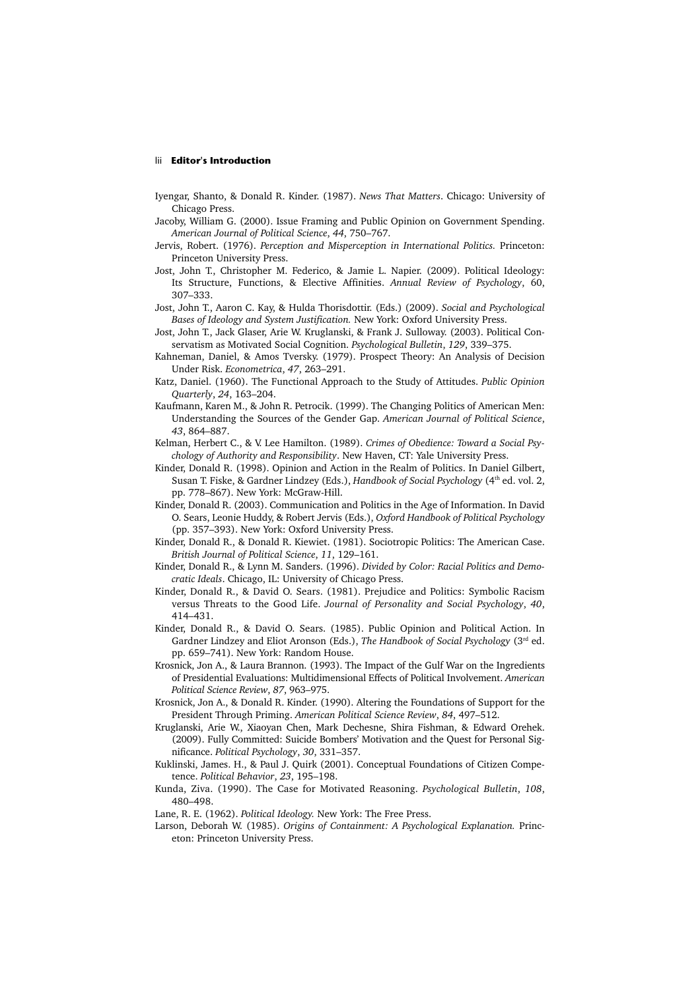### lii **Editor's Introduction**

- Iyengar, Shanto, & Donald R. Kinder. (1987). *News That Matters*. Chicago: University of Chicago Press.
- Jacoby, William G. (2000). Issue Framing and Public Opinion on Government Spending. *American Journal of Political Science*, *44*, 750–767.
- Jervis, Robert. (1976). *Perception and Misperception in International Politics.* Princeton: Princeton University Press.
- Jost, John T., Christopher M. Federico, & Jamie L. Napier. (2009). Political Ideology: Its Structure, Functions, & Elective Affinities. *Annual Review of Psychology*, 60, 307–333.
- Jost, John T., Aaron C. Kay, & Hulda Thorisdottir. (Eds.) (2009). *Social and Psychological Bases of Ideology and System Justification.* New York: Oxford University Press.
- Jost, John T., Jack Glaser, Arie W. Kruglanski, & Frank J. Sulloway. (2003). Political Conservatism as Motivated Social Cognition. *Psychological Bulletin*, *129*, 339–375.
- Kahneman, Daniel, & Amos Tversky. (1979). Prospect Theory: An Analysis of Decision Under Risk. *Econometrica*, *47*, 263–291.
- Katz, Daniel. (1960). The Functional Approach to the Study of Attitudes. *Public Opinion Quarterly*, *24*, 163–204.
- Kaufmann, Karen M., & John R. Petrocik. (1999). The Changing Politics of American Men: Understanding the Sources of the Gender Gap. *American Journal of Political Science*, *43*, 864–887.
- Kelman, Herbert C., & V. Lee Hamilton. (1989). *Crimes of Obedience: Toward a Social Psychology of Authority and Responsibility*. New Haven, CT: Yale University Press.
- Kinder, Donald R. (1998). Opinion and Action in the Realm of Politics. In Daniel Gilbert, Susan T. Fiske, & Gardner Lindzey (Eds.), *Handbook of Social Psychology* (4<sup>th</sup> ed. vol. 2, pp. 778–867). New York: McGraw-Hill.
- Kinder, Donald R. (2003). Communication and Politics in the Age of Information. In David O. Sears, Leonie Huddy, & Robert Jervis (Eds.), *Oxford Handbook of Political Psychology*  (pp. 357–393). New York: Oxford University Press.
- Kinder, Donald R., & Donald R. Kiewiet. (1981). Sociotropic Politics: The American Case. *British Journal of Political Science*, *11*, 129–161.
- Kinder, Donald R., & Lynn M. Sanders. (1996). *Divided by Color: Racial Politics and Democratic Ideals*. Chicago, IL: University of Chicago Press.
- Kinder, Donald R., & David O. Sears. (1981). Prejudice and Politics: Symbolic Racism versus Threats to the Good Life. *Journal of Personality and Social Psychology*, *40*, 414–431.
- Kinder, Donald R., & David O. Sears. (1985). Public Opinion and Political Action. In Gardner Lindzey and Eliot Aronson (Eds.), *The Handbook of Social Psychology* (3rd ed. pp. 659–741). New York: Random House.
- Krosnick, Jon A., & Laura Brannon. (1993). The Impact of the Gulf War on the Ingredients of Presidential Evaluations: Multidimensional Effects of Political Involvement. *American Political Science Review*, *87*, 963–975.
- Krosnick, Jon A., & Donald R. Kinder. (1990). Altering the Foundations of Support for the President Through Priming. *American Political Science Review*, *84*, 497–512.
- Kruglanski, Arie W., Xiaoyan Chen, Mark Dechesne, Shira Fishman, & Edward Orehek. (2009). Fully Committed: Suicide Bombers' Motivation and the Quest for Personal Significance. *Political Psychology*, *30*, 331–357.
- Kuklinski, James. H., & Paul J. Quirk (2001). Conceptual Foundations of Citizen Competence. *Political Behavior*, *23*, 195–198.
- Kunda, Ziva. (1990). The Case for Motivated Reasoning. *Psychological Bulletin*, *108*, 480–498.
- Lane, R. E. (1962). *Political Ideology.* New York: The Free Press.
- Larson, Deborah W. (1985). *Origins of Containment: A Psychological Explanation.* Princeton: Princeton University Press.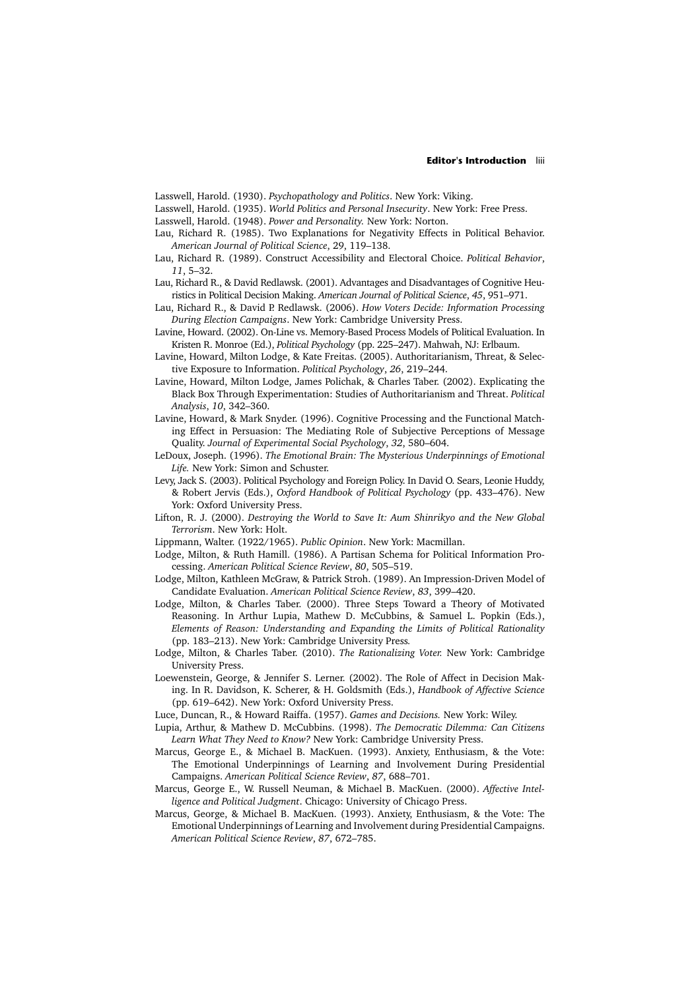Lasswell, Harold. (1930). *Psychopathology and Politics*. New York: Viking.

Lasswell, Harold. (1935). *World Politics and Personal Insecurity*. New York: Free Press.

Lasswell, Harold. (1948). *Power and Personality.* New York: Norton.

- Lau, Richard R. (1985). Two Explanations for Negativity Effects in Political Behavior. *American Journal of Political Science*, 29, 119–138.
- Lau, Richard R. (1989). Construct Accessibility and Electoral Choice. *Political Behavior*, *11*, 5–32.
- Lau, Richard R., & David Redlawsk. (2001). Advantages and Disadvantages of Cognitive Heuristics in Political Decision Making. *American Journal of Political Science*, *45*, 951–971.
- Lau, Richard R., & David P. Redlawsk. (2006). *How Voters Decide: Information Processing During Election Campaigns*. New York: Cambridge University Press.
- Lavine, Howard. (2002). On-Line vs. Memory-Based Process Models of Political Evaluation. In Kristen R. Monroe (Ed.), *Political Psychology* (pp. 225–247). Mahwah, NJ: Erlbaum.
- Lavine, Howard, Milton Lodge, & Kate Freitas. (2005). Authoritarianism, Threat, & Selective Exposure to Information. *Political Psychology*, *26*, 219–244.
- Lavine, Howard, Milton Lodge, James Polichak, & Charles Taber. (2002). Explicating the Black Box Through Experimentation: Studies of Authoritarianism and Threat. *Political Analysis*, *10*, 342–360.
- Lavine, Howard, & Mark Snyder. (1996). Cognitive Processing and the Functional Matching Effect in Persuasion: The Mediating Role of Subjective Perceptions of Message Quality. *Journal of Experimental Social Psychology*, *32*, 580–604.
- LeDoux, Joseph. (1996). *The Emotional Brain: The Mysterious Underpinnings of Emotional Life.* New York: Simon and Schuster.
- Levy, Jack S. (2003). Political Psychology and Foreign Policy. In David O. Sears, Leonie Huddy, & Robert Jervis (Eds.), *Oxford Handbook of Political Psychology* (pp. 433–476). New York: Oxford University Press.
- Lifton, R. J. (2000). *Destroying the World to Save It: Aum Shinrikyo and the New Global Terrorism*. New York: Holt.
- Lippmann, Walter. (1922/1965). *Public Opinion*. New York: Macmillan.
- Lodge, Milton, & Ruth Hamill. (1986). A Partisan Schema for Political Information Processing. *American Political Science Review*, *80*, 505–519.
- Lodge, Milton, Kathleen McGraw, & Patrick Stroh. (1989). An Impression-Driven Model of Candidate Evaluation. *American Political Science Review*, *83*, 399–420.
- Lodge, Milton, & Charles Taber. (2000). Three Steps Toward a Theory of Motivated Reasoning. In Arthur Lupia, Mathew D. McCubbins, & Samuel L. Popkin (Eds.), *Elements of Reason: Understanding and Expanding the Limits of Political Rationality*  (pp. 183–213). New York: Cambridge University Press*.*
- Lodge, Milton, & Charles Taber. (2010). *The Rationalizing Voter.* New York: Cambridge University Press.
- Loewenstein, George, & Jennifer S. Lerner. (2002). The Role of Affect in Decision Making. In R. Davidson, K. Scherer, & H. Goldsmith (Eds.), *Handbook of Affective Science* (pp. 619–642). New York: Oxford University Press.
- Luce, Duncan, R., & Howard Raiffa. (1957). *Games and Decisions.* New York: Wiley.
- Lupia, Arthur, & Mathew D. McCubbins. (1998). *The Democratic Dilemma: Can Citizens Learn What They Need to Know?* New York: Cambridge University Press.
- Marcus, George E., & Michael B. MacKuen. (1993). Anxiety, Enthusiasm, & the Vote: The Emotional Underpinnings of Learning and Involvement During Presidential Campaigns. *American Political Science Review*, *87*, 688–701.
- Marcus, George E., W. Russell Neuman, & Michael B. MacKuen. (2000). *Affective Intelligence and Political Judgment*. Chicago: University of Chicago Press.
- Marcus, George, & Michael B. MacKuen. (1993). Anxiety, Enthusiasm, & the Vote: The Emotional Underpinnings of Learning and Involvement during Presidential Campaigns. *American Political Science Review*, *87*, 672–785.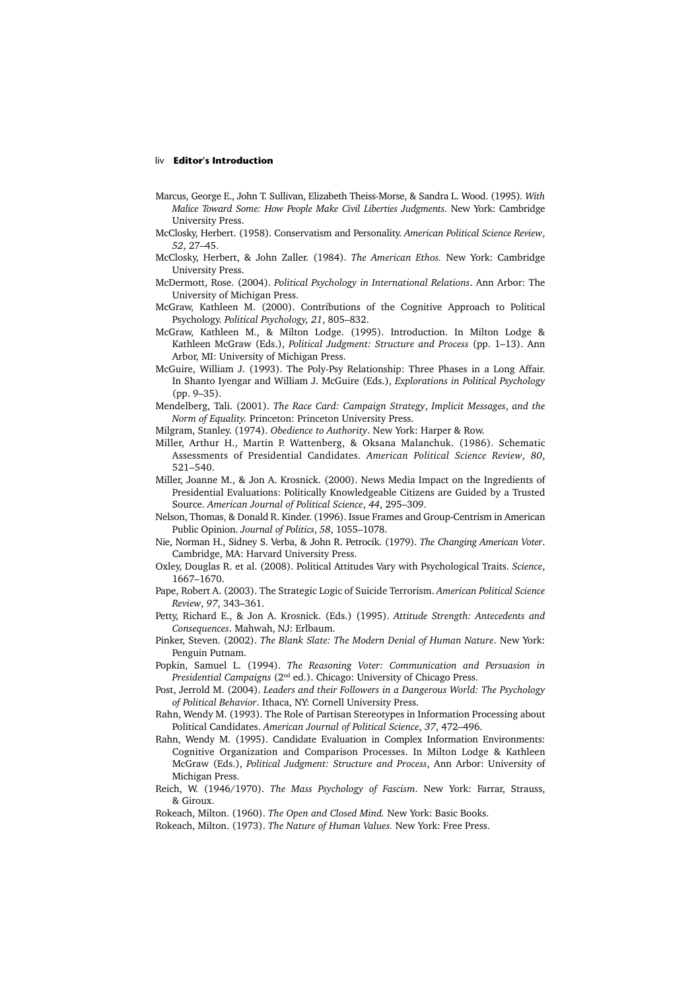### liv **Editor's Introduction**

- Marcus, George E., John T. Sullivan, Elizabeth Theiss-Morse, & Sandra L. Wood. (1995)*. With Malice Toward Some: How People Make Civil Liberties Judgments*. New York: Cambridge University Press.
- McClosky, Herbert. (1958). Conservatism and Personality. *American Political Science Review*, *52*, 27–45.
- McClosky, Herbert, & John Zaller. (1984). *The American Ethos.* New York: Cambridge University Press.
- McDermott, Rose. (2004). *Political Psychology in International Relations*. Ann Arbor: The University of Michigan Press.
- McGraw, Kathleen M. (2000). Contributions of the Cognitive Approach to Political Psychology. *Political Psychology, 21*, 805–832.
- McGraw, Kathleen M., & Milton Lodge. (1995). Introduction. In Milton Lodge & Kathleen McGraw (Eds.), *Political Judgment: Structure and Process* (pp. 1–13). Ann Arbor, MI: University of Michigan Press.
- McGuire, William J. (1993). The Poly-Psy Relationship: Three Phases in a Long Affair. In Shanto Iyengar and William J. McGuire (Eds.), *Explorations in Political Psychology*  (pp. 9–35).
- Mendelberg, Tali. (2001). *The Race Card: Campaign Strategy*, *Implicit Messages*, *and the Norm of Equality.* Princeton: Princeton University Press.
- Milgram, Stanley. (1974). *Obedience to Authority*. New York: Harper & Row.
- Miller, Arthur H., Martin P. Wattenberg, & Oksana Malanchuk. (1986). Schematic Assessments of Presidential Candidates. *American Political Science Review*, *80*, 521–540.
- Miller, Joanne M., & Jon A. Krosnick. (2000). News Media Impact on the Ingredients of Presidential Evaluations: Politically Knowledgeable Citizens are Guided by a Trusted Source. *American Journal of Political Science*, *44*, 295–309.
- Nelson, Thomas, & Donald R. Kinder. (1996). Issue Frames and Group-Centrism in American Public Opinion. *Journal of Politics*, *58*, 1055–1078.
- Nie, Norman H., Sidney S. Verba, & John R. Petrocik. (1979). *The Changing American Voter*. Cambridge, MA: Harvard University Press.
- Oxley, Douglas R. et al. (2008). Political Attitudes Vary with Psychological Traits. *Science*, 1667–1670.
- Pape, Robert A. (2003). The Strategic Logic of Suicide Terrorism. *American Political Science Review*, *97*, 343–361.
- Petty, Richard E., & Jon A. Krosnick. (Eds.) (1995). *Attitude Strength: Antecedents and Consequences*. Mahwah, NJ: Erlbaum.
- Pinker, Steven. (2002). *The Blank Slate: The Modern Denial of Human Nature*. New York: Penguin Putnam.
- Popkin, Samuel L. (1994). *The Reasoning Voter: Communication and Persuasion in Presidential Campaigns* (2nd ed.). Chicago: University of Chicago Press.
- Post, Jerrold M. (2004). *Leaders and their Followers in a Dangerous World: The Psychology of Political Behavior*. Ithaca, NY: Cornell University Press.
- Rahn, Wendy M. (1993). The Role of Partisan Stereotypes in Information Processing about Political Candidates. *American Journal of Political Science*, *37*, 472–496.
- Rahn, Wendy M. (1995). Candidate Evaluation in Complex Information Environments: Cognitive Organization and Comparison Processes. In Milton Lodge & Kathleen McGraw (Eds.), *Political Judgment: Structure and Process*, Ann Arbor: University of Michigan Press.
- Reich, W. (1946/1970). *The Mass Psychology of Fascism*. New York: Farrar, Strauss, & Giroux.
- Rokeach, Milton. (1960). *The Open and Closed Mind.* New York: Basic Books.
- Rokeach, Milton. (1973). *The Nature of Human Values.* New York: Free Press.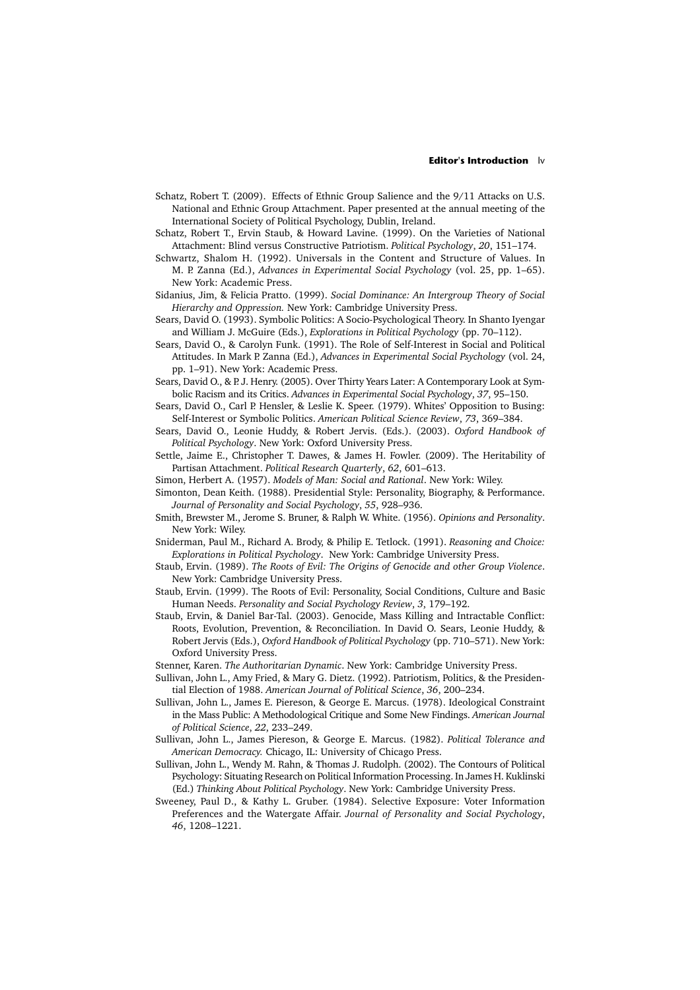### **Editor's Introduction** lv

- Schatz, Robert T. (2009). Effects of Ethnic Group Salience and the 9/11 Attacks on U.S. National and Ethnic Group Attachment. Paper presented at the annual meeting of the International Society of Political Psychology, Dublin, Ireland.
- Schatz, Robert T., Ervin Staub, & Howard Lavine. (1999). On the Varieties of National Attachment: Blind versus Constructive Patriotism. *Political Psychology*, *20*, 151–174.
- Schwartz, Shalom H. (1992). Universals in the Content and Structure of Values. In M. P. Zanna (Ed.), *Advances in Experimental Social Psychology* (vol. 25, pp. 1–65). New York: Academic Press.
- Sidanius, Jim, & Felicia Pratto. (1999). *Social Dominance: An Intergroup Theory of Social Hierarchy and Oppression.* New York: Cambridge University Press.
- Sears, David O. (1993). Symbolic Politics: A Socio-Psychological Theory. In Shanto Iyengar and William J. McGuire (Eds.), *Explorations in Political Psychology* (pp. 70–112).
- Sears, David O., & Carolyn Funk. (1991). The Role of Self-Interest in Social and Political Attitudes. In Mark P. Zanna (Ed.), *Advances in Experimental Social Psychology* (vol. 24, pp. 1–91). New York: Academic Press.
- Sears, David O., & P. J. Henry. (2005). Over Thirty Years Later: A Contemporary Look at Symbolic Racism and its Critics. *Advances in Experimental Social Psychology*, *37*, 95–150.
- Sears, David O., Carl P. Hensler, & Leslie K. Speer. (1979). Whites' Opposition to Busing: Self-Interest or Symbolic Politics. *American Political Science Review*, *73*, 369–384.
- Sears, David O., Leonie Huddy, & Robert Jervis. (Eds.). (2003). *Oxford Handbook of Political Psychology*. New York: Oxford University Press.
- Settle, Jaime E., Christopher T. Dawes, & James H. Fowler. (2009). The Heritability of Partisan Attachment. *Political Research Quarterly*, *62*, 601–613.
- Simon, Herbert A. (1957). *Models of Man: Social and Rational*. New York: Wiley.
- Simonton, Dean Keith. (1988). Presidential Style: Personality, Biography, & Performance. *Journal of Personality and Social Psychology*, *55*, 928–936.
- Smith, Brewster M., Jerome S. Bruner, & Ralph W. White. (1956). *Opinions and Personality*. New York: Wiley.
- Sniderman, Paul M., Richard A. Brody, & Philip E. Tetlock. (1991). *Reasoning and Choice: Explorations in Political Psychology*. New York: Cambridge University Press.
- Staub, Ervin. (1989). *The Roots of Evil: The Origins of Genocide and other Group Violence*. New York: Cambridge University Press.
- Staub, Ervin. (1999). The Roots of Evil: Personality, Social Conditions, Culture and Basic Human Needs. *Personality and Social Psychology Review*, *3*, 179–192.
- Staub, Ervin, & Daniel Bar-Tal. (2003). Genocide, Mass Killing and Intractable Conflict: Roots, Evolution, Prevention, & Reconciliation. In David O. Sears, Leonie Huddy, & Robert Jervis (Eds.), *Oxford Handbook of Political Psychology* (pp. 710–571). New York: Oxford University Press.
- Stenner, Karen. *The Authoritarian Dynamic*. New York: Cambridge University Press.
- Sullivan, John L., Amy Fried, & Mary G. Dietz. (1992). Patriotism, Politics, & the Presidential Election of 1988. *American Journal of Political Science*, *36*, 200–234.
- Sullivan, John L., James E. Piereson, & George E. Marcus. (1978). Ideological Constraint in the Mass Public: A Methodological Critique and Some New Findings. *American Journal of Political Science*, *22*, 233–249.
- Sullivan, John L., James Piereson, & George E. Marcus. (1982). *Political Tolerance and American Democracy.* Chicago, IL: University of Chicago Press.
- Sullivan, John L., Wendy M. Rahn, & Thomas J. Rudolph. (2002). The Contours of Political Psychology: Situating Research on Political Information Processing. In James H. Kuklinski (Ed.) *Thinking About Political Psychology*. New York: Cambridge University Press.
- Sweeney, Paul D., & Kathy L. Gruber. (1984). Selective Exposure: Voter Information Preferences and the Watergate Affair. *Journal of Personality and Social Psychology*, *46*, 1208–1221.